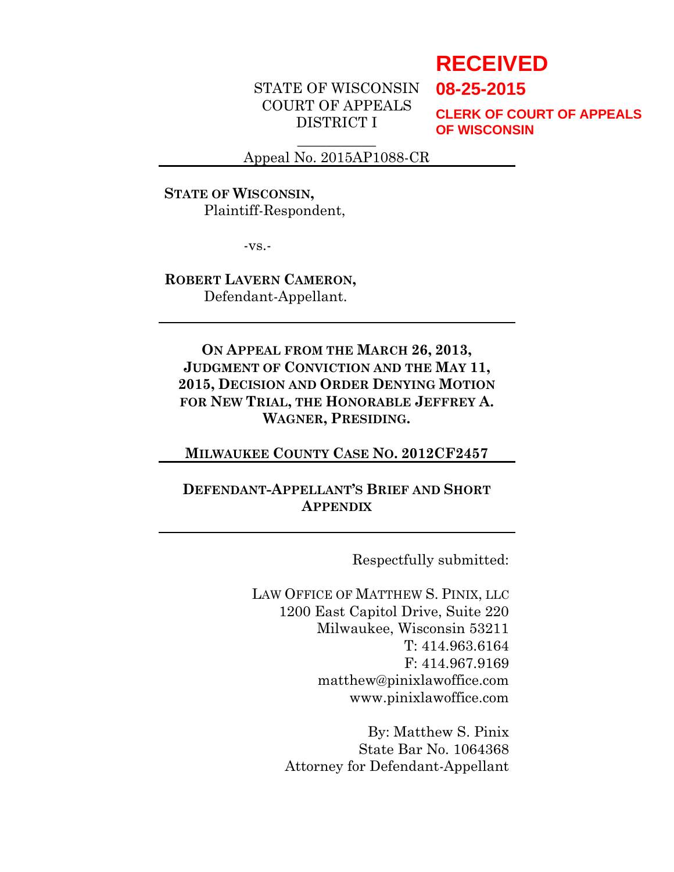# **RECEIVED**

**08-25-2015**

STATE OF WISCONSIN COURT OF APPEALS DISTRICT I

**CLERK OF COURT OF APPEALS OF WISCONSIN**

 $\overline{\phantom{a}}$ Appeal No. 2015AP1088-CR

## **STATE OF WISCONSIN,** Plaintiff-Respondent,

-vs.-

#### **ROBERT LAVERN CAMERON,** Defendant-Appellant.

**ON APPEAL FROM THE MARCH 26, 2013, JUDGMENT OF CONVICTION AND THE MAY 11, 2015, DECISION AND ORDER DENYING MOTION FOR NEW TRIAL, THE HONORABLE JEFFREY A. WAGNER, PRESIDING.**

#### **MILWAUKEE COUNTY CASE NO. 2012CF2457**

# **DEFENDANT-APPELLANT'S BRIEF AND SHORT APPENDIX**

Respectfully submitted:

LAW OFFICE OF MATTHEW S. PINIX, LLC 1200 East Capitol Drive, Suite 220 Milwaukee, Wisconsin 53211 T: 414.963.6164 F: 414.967.9169 matthew@pinixlawoffice.com www.pinixlawoffice.com

> By: Matthew S. Pinix State Bar No. 1064368 Attorney for Defendant-Appellant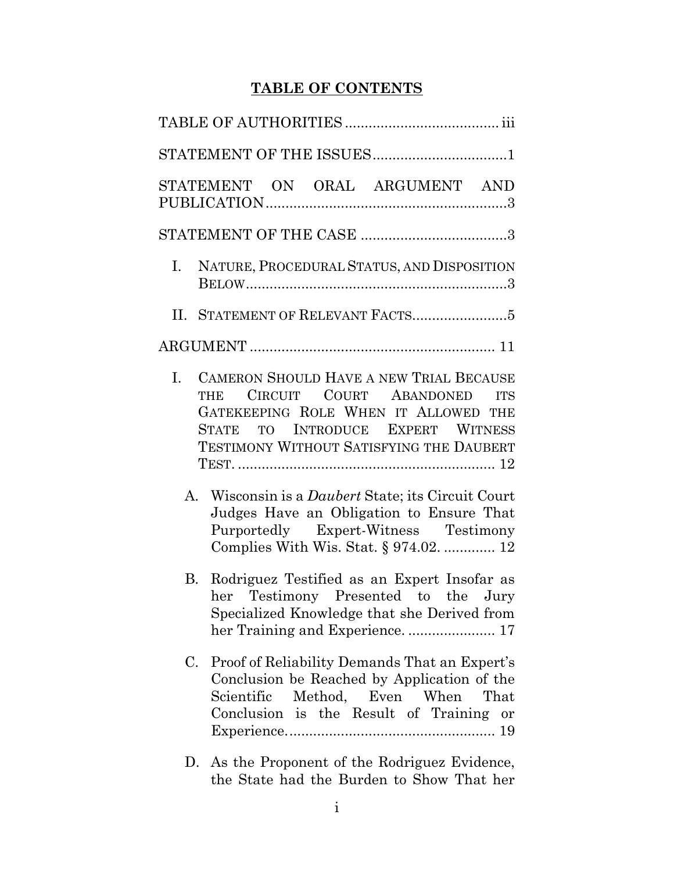# **TABLE OF CONTENTS**

|    | STATEMENT ON ORAL ARGUMENT AND                                                                                                                                                                                                 |
|----|--------------------------------------------------------------------------------------------------------------------------------------------------------------------------------------------------------------------------------|
|    |                                                                                                                                                                                                                                |
| Ι. | NATURE, PROCEDURAL STATUS, AND DISPOSITION                                                                                                                                                                                     |
|    |                                                                                                                                                                                                                                |
|    |                                                                                                                                                                                                                                |
| Ι. | <b>CAMERON SHOULD HAVE A NEW TRIAL BECAUSE</b><br>CIRCUIT COURT ABANDONED<br><b>THE</b><br><b>ITS</b><br>GATEKEEPING ROLE WHEN IT ALLOWED THE<br>STATE TO INTRODUCE EXPERT WITNESS<br>TESTIMONY WITHOUT SATISFYING THE DAUBERT |
|    | A. Wisconsin is a <i>Daubert</i> State; its Circuit Court<br>Judges Have an Obligation to Ensure That<br>Purportedly Expert-Witness Testimony<br>Complies With Wis. Stat. § 974.02.  12                                        |
|    | B. Rodriguez Testified as an Expert Insofar as<br>her Testimony Presented to the Jury<br>Specialized Knowledge that she Derived from                                                                                           |
| C. | Proof of Reliability Demands That an Expert's<br>Conclusion be Reached by Application of the<br>Scientific Method, Even When That<br>Conclusion is the Result of Training or                                                   |
|    | D. As the Proponent of the Rodriguez Evidence,                                                                                                                                                                                 |

[the State had the Burden to Show That her](#page-29-0)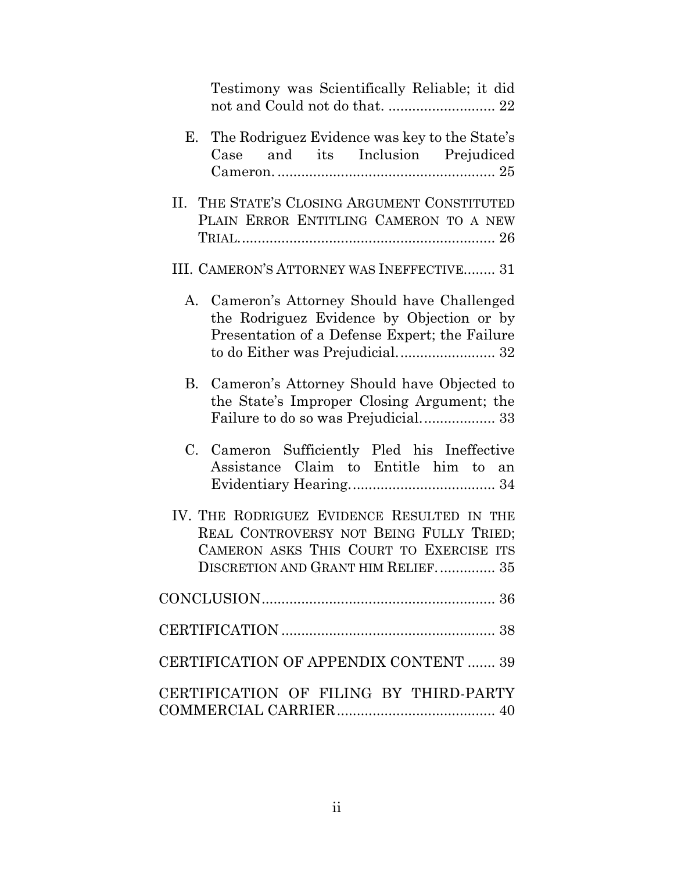| Testimony was Scientifically Reliable; it did                                                                                                                            |
|--------------------------------------------------------------------------------------------------------------------------------------------------------------------------|
| The Rodriguez Evidence was key to the State's<br>Е.<br>Case and its Inclusion Prejudiced                                                                                 |
| II. THE STATE'S CLOSING ARGUMENT CONSTITUTED<br>PLAIN ERROR ENTITLING CAMERON TO A NEW                                                                                   |
| III. CAMERON'S ATTORNEY WAS INEFFECTIVE 31                                                                                                                               |
| Cameron's Attorney Should have Challenged<br>A.<br>the Rodriguez Evidence by Objection or by<br>Presentation of a Defense Expert; the Failure                            |
| B. Cameron's Attorney Should have Objected to<br>the State's Improper Closing Argument; the<br>Failure to do so was Prejudicial 33                                       |
| C. Cameron Sufficiently Pled his Ineffective<br>Assistance Claim to Entitle him to an                                                                                    |
| IV. THE RODRIGUEZ EVIDENCE RESULTED IN THE<br>REAL CONTROVERSY NOT BEING FULLY TRIED;<br>CAMERON ASKS THIS COURT TO EXERCISE ITS<br>DISCRETION AND GRANT HIM RELIEF.  35 |
|                                                                                                                                                                          |
|                                                                                                                                                                          |
| CERTIFICATION OF APPENDIX CONTENT  39                                                                                                                                    |
| CERTIFICATION OF FILING BY THIRD-PARTY                                                                                                                                   |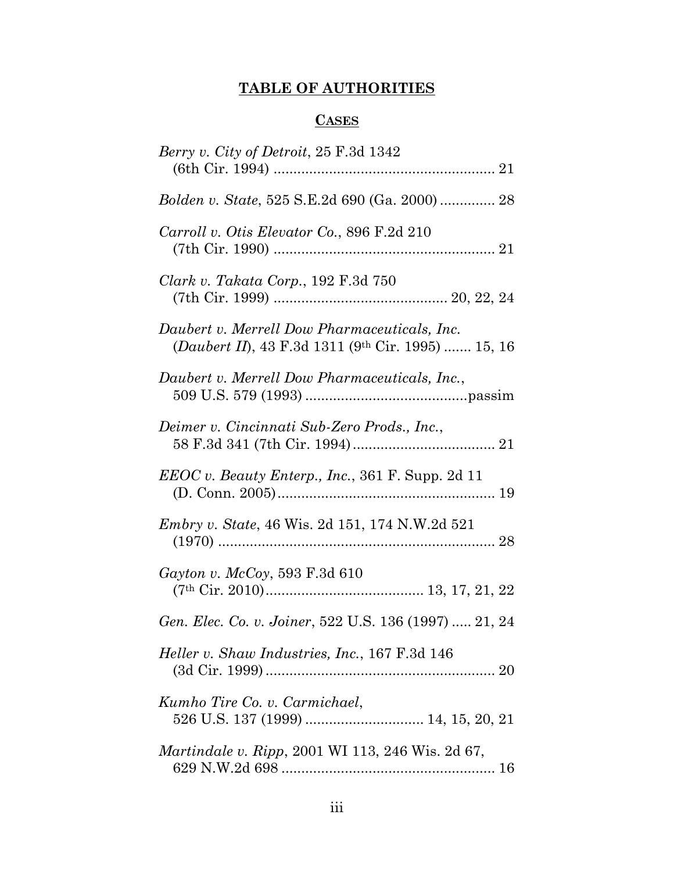# **TABLE OF AUTHORITIES**

# **CASES**

<span id="page-4-0"></span>

| <i>Berry v. City of Detroit, 25 F.3d 1342</i>                                                                           |
|-------------------------------------------------------------------------------------------------------------------------|
| Bolden v. State, 525 S.E.2d 690 (Ga. 2000)  28                                                                          |
| Carroll v. Otis Elevator Co., 896 F.2d 210                                                                              |
| Clark v. Takata Corp., 192 F.3d 750                                                                                     |
| Daubert v. Merrell Dow Pharmaceuticals, Inc.<br>( <i>Daubert II</i> ), 43 F.3d 1311 (9 <sup>th</sup> Cir. 1995)  15, 16 |
| Daubert v. Merrell Dow Pharmaceuticals, Inc.,                                                                           |
| Deimer v. Cincinnati Sub-Zero Prods., Inc.,                                                                             |
| <i>EEOC v. Beauty Enterp., Inc., 361 F. Supp. 2d 11</i>                                                                 |
| <i>Embry v. State, 46 Wis. 2d 151, 174 N.W.2d 521</i>                                                                   |
| Gayton v. McCoy, 593 F.3d 610                                                                                           |
| Gen. Elec. Co. v. Joiner, 522 U.S. 136 (1997)  21, 24                                                                   |
| <i>Heller v. Shaw Industries, Inc., 167 F.3d 146</i>                                                                    |
| Kumho Tire Co. v. Carmichael,                                                                                           |
| Martindale v. Ripp, 2001 WI 113, 246 Wis. 2d 67,                                                                        |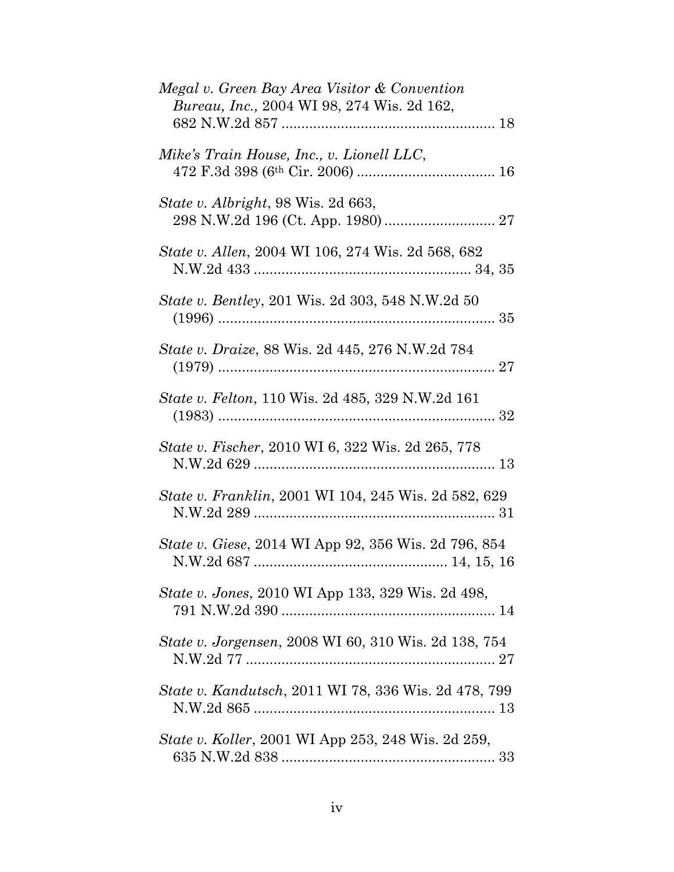| Megal v. Green Bay Area Visitor & Convention<br><i>Bureau, Inc., 2004 WI 98, 274 Wis. 2d 162,</i> |
|---------------------------------------------------------------------------------------------------|
| Mike's Train House, Inc., v. Lionell LLC,                                                         |
| <i>State v. Albright, 98 Wis. 2d 663,</i>                                                         |
| State v. Allen, 2004 WI 106, 274 Wis. 2d 568, 682                                                 |
| <i>State v. Bentley, 201 Wis. 2d 303, 548 N.W.2d 50</i>                                           |
| State v. Draize, 88 Wis. 2d 445, 276 N.W.2d 784                                                   |
| <i>State v. Felton,</i> 110 Wis. 2d 485, 329 N.W.2d 161                                           |
| <i>State v. Fischer, 2010 WI 6, 322 Wis. 2d 265, 778</i>                                          |
| <i>State v. Franklin, 2001 WI 104, 245 Wis. 2d 582, 629</i>                                       |
| <i>State v. Giese, 2014 WI App 92, 356 Wis. 2d 796, 854</i>                                       |
| <i>State v. Jones, 2010 WI App 133, 329 Wis. 2d 498,</i>                                          |
| <i>State v. Jorgensen, 2008 WI 60, 310 Wis. 2d 138, 754</i>                                       |
| <i>State v. Kandutsch, 2011 WI 78, 336 Wis. 2d 478, 799</i>                                       |
| <i>State v. Koller</i> , 2001 WI App 253, 248 Wis. 2d 259,                                        |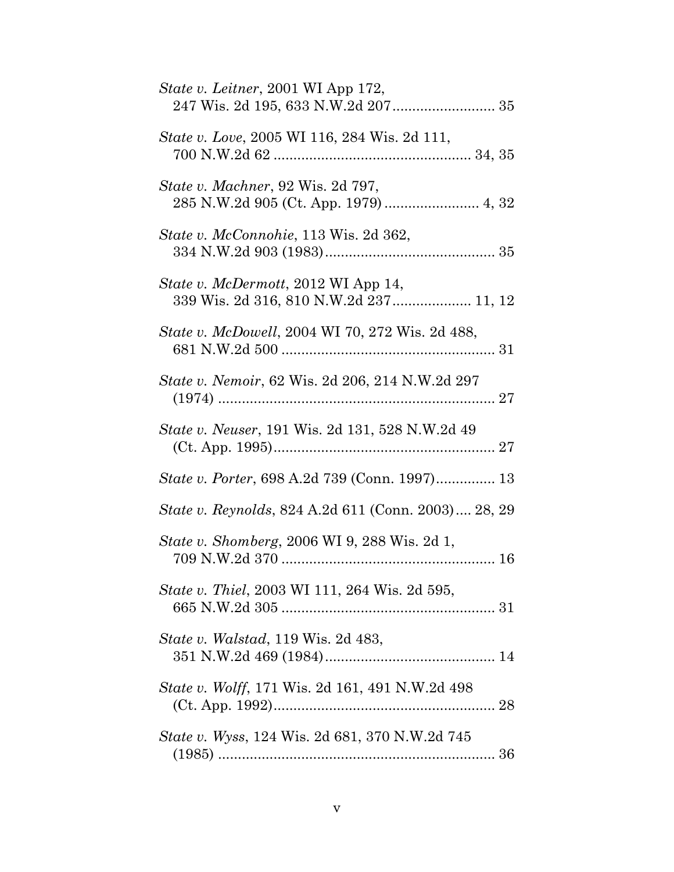| <i>State v. Leitner</i> , 2001 WI App 172,<br>247 Wis. 2d 195, 633 N.W.2d 207 35 |
|----------------------------------------------------------------------------------|
| <i>State v. Love, 2005 WI 116, 284 Wis. 2d 111,</i>                              |
| <i>State v. Machner</i> , 92 Wis. 2d 797,                                        |
| State v. McConnohie, 113 Wis. 2d 362,                                            |
| State v. McDermott, 2012 WI App 14,<br>339 Wis. 2d 316, 810 N.W.2d 237 11, 12    |
| <i>State v. McDowell, 2004 WI 70, 272 Wis. 2d 488,</i>                           |
| State v. Nemoir, 62 Wis. 2d 206, 214 N.W.2d 297                                  |
| State v. Neuser, 191 Wis. 2d 131, 528 N.W.2d 49                                  |
| <i>State v. Porter</i> , 698 A.2d 739 (Conn. 1997) 13                            |
| <i>State v. Reynolds, 824 A.2d 611 (Conn. 2003) 28, 29</i>                       |
| <i>State v. Shomberg, 2006 WI 9, 288 Wis. 2d 1,</i>                              |
| <i>State v. Thiel, 2003 WI 111, 264 Wis. 2d 595,</i>                             |
| <i>State v. Walstad,</i> 119 Wis. 2d 483,                                        |
| State v. Wolff, 171 Wis. 2d 161, 491 N.W.2d 498                                  |
| <i>State v. Wyss, 124 Wis. 2d 681, 370 N.W.2d 745</i>                            |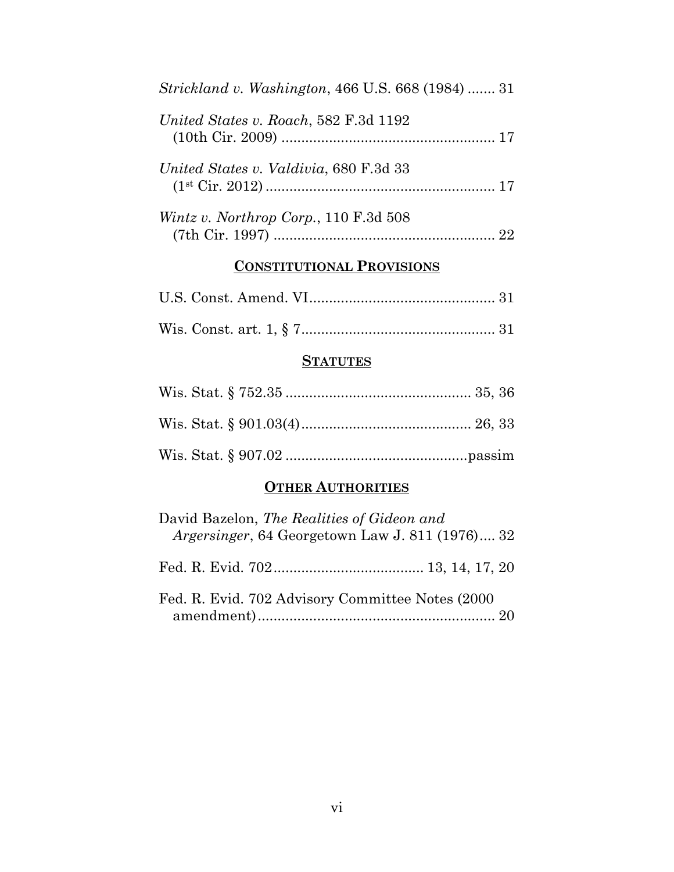| <i>Strickland v. Washington, 466 U.S. 668 (1984) </i> 31 |
|----------------------------------------------------------|
| United States v. Roach, 582 F.3d 1192                    |
| United States v. Valdivia, 680 F.3d 33                   |
| <i>Wintz v. Northrop Corp.</i> , 110 $F.3d$ 508          |

# **CONSTITUTIONAL PROVISIONS**

# **STATUTES**

# **OTHER AUTHORITIES**

| David Bazelon, The Realities of Gideon and<br><i>Argersinger</i> , 64 Georgetown Law J. 811 (1976) 32 |
|-------------------------------------------------------------------------------------------------------|
|                                                                                                       |
| Fed. R. Evid. 702 Advisory Committee Notes (2000)                                                     |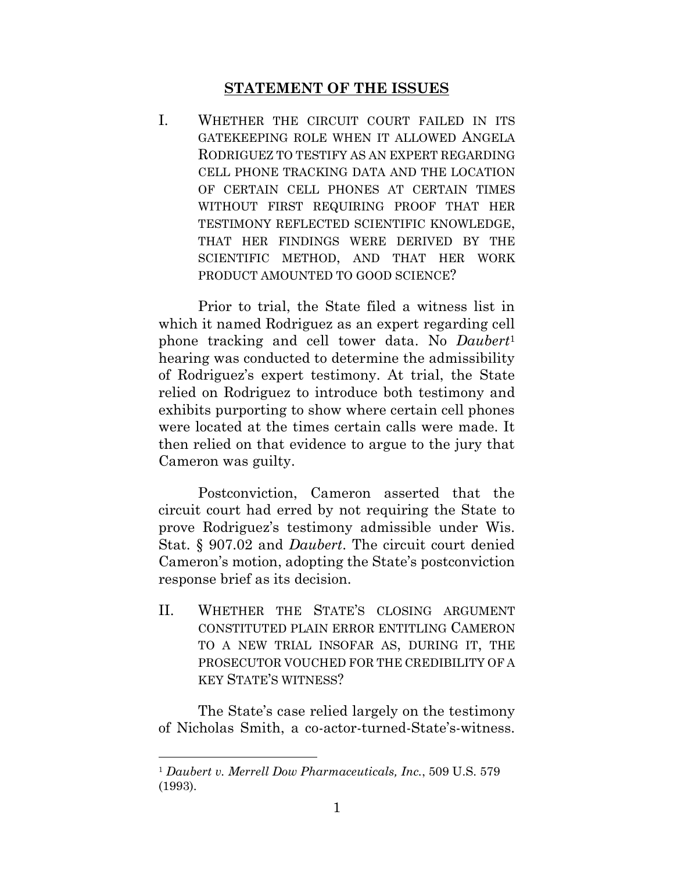### **STATEMENT OF THE ISSUES**

<span id="page-8-0"></span>I. WHETHER THE CIRCUIT COURT FAILED IN ITS GATEKEEPING ROLE WHEN IT ALLOWED ANGELA RODRIGUEZ TO TESTIFY AS AN EXPERT REGARDING CELL PHONE TRACKING DATA AND THE LOCATION OF CERTAIN CELL PHONES AT CERTAIN TIMES WITHOUT FIRST REQUIRING PROOF THAT HER TESTIMONY REFLECTED SCIENTIFIC KNOWLEDGE, THAT HER FINDINGS WERE DERIVED BY THE SCIENTIFIC METHOD, AND THAT HER WORK PRODUCT AMOUNTED TO GOOD SCIENCE?

Prior to trial, the State filed a witness list in which it named Rodriguez as an expert regarding cell phone tracking and cell tower data. No *Daubert*<sup>1</sup> hearing was conducted to determine the admissibility of Rodriguez's expert testimony. At trial, the State relied on Rodriguez to introduce both testimony and exhibits purporting to show where certain cell phones were located at the times certain calls were made. It then relied on that evidence to argue to the jury that Cameron was guilty.

Postconviction, Cameron asserted that the circuit court had erred by not requiring the State to prove Rodriguez's testimony admissible under Wis. Stat. § 907.02 and *Daubert*. The circuit court denied Cameron's motion, adopting the State's postconviction response brief as its decision.

II. WHETHER THE STATE'S CLOSING ARGUMENT CONSTITUTED PLAIN ERROR ENTITLING CAMERON TO A NEW TRIAL INSOFAR AS, DURING IT, THE PROSECUTOR VOUCHED FOR THE CREDIBILITY OF A KEY STATE'S WITNESS?

The State's case relied largely on the testimony of Nicholas Smith, a co-actor-turned-State's-witness.

<sup>1</sup> *Daubert v. Merrell Dow Pharmaceuticals, Inc.*, 509 U.S. 579 (1993).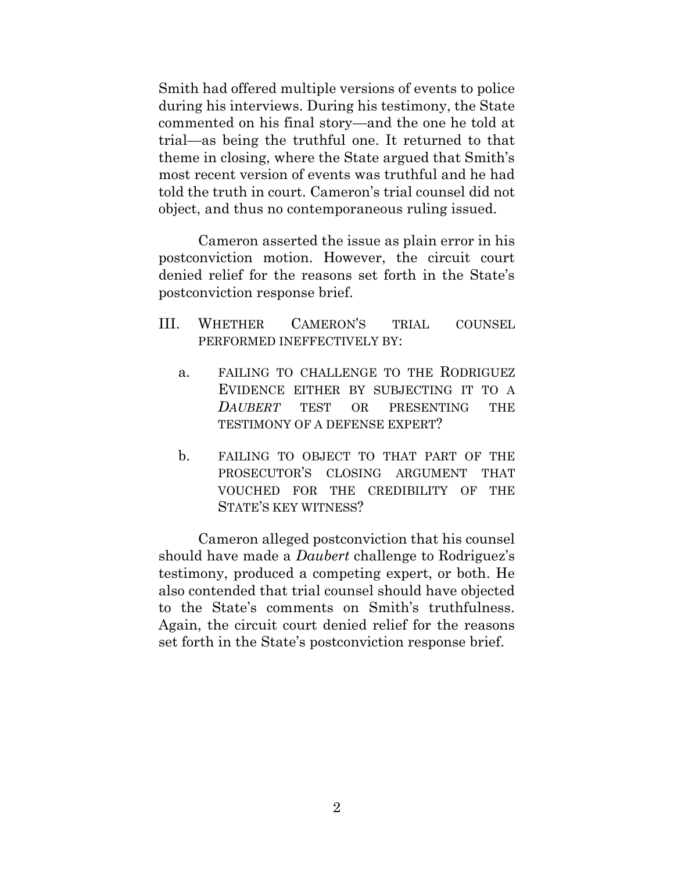Smith had offered multiple versions of events to police during his interviews. During his testimony, the State commented on his final story—and the one he told at trial—as being the truthful one. It returned to that theme in closing, where the State argued that Smith's most recent version of events was truthful and he had told the truth in court. Cameron's trial counsel did not object, and thus no contemporaneous ruling issued.

Cameron asserted the issue as plain error in his postconviction motion. However, the circuit court denied relief for the reasons set forth in the State's postconviction response brief.

- III. WHETHER CAMERON'S TRIAL COUNSEL PERFORMED INEFFECTIVELY BY:
	- a. FAILING TO CHALLENGE TO THE RODRIGUEZ EVIDENCE EITHER BY SUBJECTING IT TO A *DAUBERT* TEST OR PRESENTING THE TESTIMONY OF A DEFENSE EXPERT?
	- b. FAILING TO OBJECT TO THAT PART OF THE PROSECUTOR'S CLOSING ARGUMENT THAT VOUCHED FOR THE CREDIBILITY OF THE STATE'S KEY WITNESS?

Cameron alleged postconviction that his counsel should have made a *Daubert* challenge to Rodriguez's testimony, produced a competing expert, or both. He also contended that trial counsel should have objected to the State's comments on Smith's truthfulness. Again, the circuit court denied relief for the reasons set forth in the State's postconviction response brief.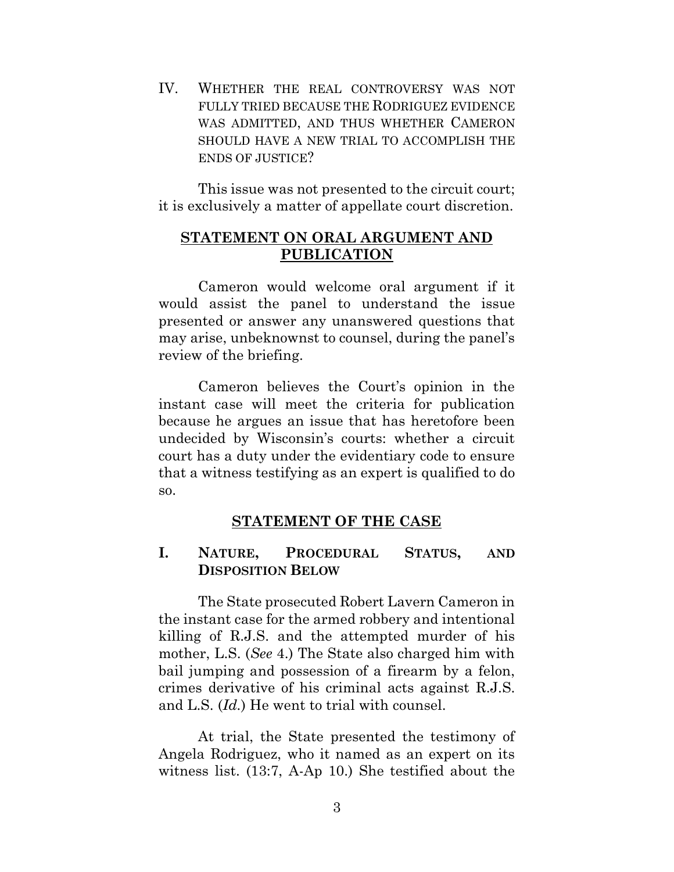IV. WHETHER THE REAL CONTROVERSY WAS NOT FULLY TRIED BECAUSE THE RODRIGUEZ EVIDENCE WAS ADMITTED, AND THUS WHETHER CAMERON SHOULD HAVE A NEW TRIAL TO ACCOMPLISH THE ENDS OF JUSTICE?

This issue was not presented to the circuit court; it is exclusively a matter of appellate court discretion.

### <span id="page-10-0"></span>**STATEMENT ON ORAL ARGUMENT AND PUBLICATION**

Cameron would welcome oral argument if it would assist the panel to understand the issue presented or answer any unanswered questions that may arise, unbeknownst to counsel, during the panel's review of the briefing.

Cameron believes the Court's opinion in the instant case will meet the criteria for publication because he argues an issue that has heretofore been undecided by Wisconsin's courts: whether a circuit court has a duty under the evidentiary code to ensure that a witness testifying as an expert is qualified to do so.

#### **STATEMENT OF THE CASE**

#### <span id="page-10-2"></span><span id="page-10-1"></span>**I. NATURE, PROCEDURAL STATUS, AND DISPOSITION BELOW**

The State prosecuted Robert Lavern Cameron in the instant case for the armed robbery and intentional killing of R.J.S. and the attempted murder of his mother, L.S. (*See* 4.) The State also charged him with bail jumping and possession of a firearm by a felon, crimes derivative of his criminal acts against R.J.S. and L.S. (*Id.*) He went to trial with counsel.

At trial, the State presented the testimony of Angela Rodriguez, who it named as an expert on its witness list. (13:7, A-Ap 10.) She testified about the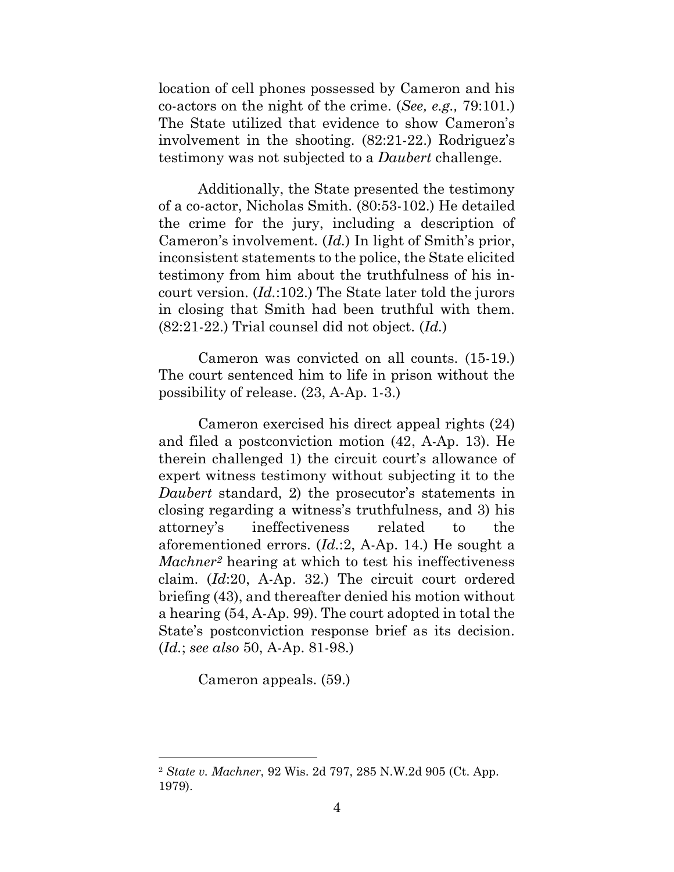location of cell phones possessed by Cameron and his co-actors on the night of the crime. (*See, e.g.,* 79:101.) The State utilized that evidence to show Cameron's involvement in the shooting. (82:21-22.) Rodriguez's testimony was not subjected to a *Daubert* challenge.

Additionally, the State presented the testimony of a co-actor, Nicholas Smith. (80:53-102.) He detailed the crime for the jury, including a description of Cameron's involvement. (*Id.*) In light of Smith's prior, inconsistent statements to the police, the State elicited testimony from him about the truthfulness of his incourt version. (*Id.*:102.) The State later told the jurors in closing that Smith had been truthful with them. (82:21-22.) Trial counsel did not object. (*Id.*)

Cameron was convicted on all counts. (15-19.) The court sentenced him to life in prison without the possibility of release. (23, A-Ap. 1-3.)

Cameron exercised his direct appeal rights (24) and filed a postconviction motion (42, A-Ap. 13). He therein challenged 1) the circuit court's allowance of expert witness testimony without subjecting it to the *Daubert* standard, 2) the prosecutor's statements in closing regarding a witness's truthfulness, and 3) his attorney's ineffectiveness related to the aforementioned errors. (*Id.*:2, A-Ap. 14.) He sought a *Machner<sup>2</sup>* hearing at which to test his ineffectiveness claim. (*Id*:20, A-Ap. 32.) The circuit court ordered briefing (43), and thereafter denied his motion without a hearing (54, A-Ap. 99). The court adopted in total the State's postconviction response brief as its decision. (*Id.*; *see also* 50, A-Ap. 81-98.)

Cameron appeals. (59.)

<sup>2</sup> *State v. Machner*, 92 Wis. 2d 797, 285 N.W.2d 905 (Ct. App. 1979).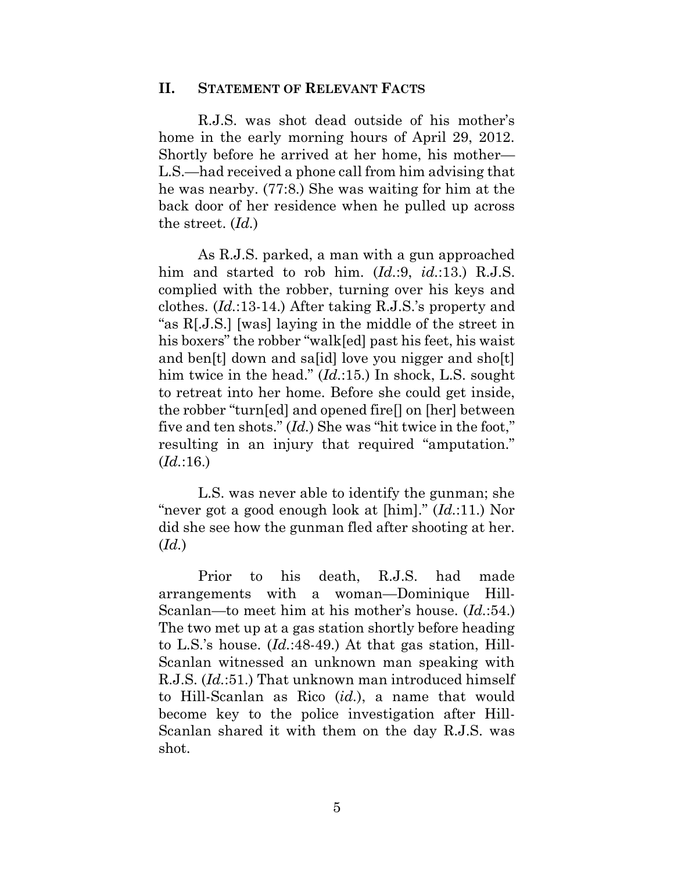#### <span id="page-12-0"></span>**II. STATEMENT OF RELEVANT FACTS**

R.J.S. was shot dead outside of his mother's home in the early morning hours of April 29, 2012. Shortly before he arrived at her home, his mother— L.S.—had received a phone call from him advising that he was nearby. (77:8.) She was waiting for him at the back door of her residence when he pulled up across the street. (*Id.*)

As R.J.S. parked, a man with a gun approached him and started to rob him. (*Id.*:9, *id.*:13.) R.J.S. complied with the robber, turning over his keys and clothes. (*Id.*:13-14.) After taking R.J.S.'s property and "as R[.J.S.] [was] laying in the middle of the street in his boxers" the robber "walk[ed] past his feet, his waist and ben[t] down and sa[id] love you nigger and sho[t] him twice in the head." (*Id.*:15.) In shock, L.S. sought to retreat into her home. Before she could get inside, the robber "turn[ed] and opened fire[] on [her] between five and ten shots." (*Id.*) She was "hit twice in the foot," resulting in an injury that required "amputation." (*Id.*:16.)

L.S. was never able to identify the gunman; she "never got a good enough look at [him]." (*Id.*:11.) Nor did she see how the gunman fled after shooting at her. (*Id.*)

Prior to his death, R.J.S. had made arrangements with a woman—Dominique Hill-Scanlan—to meet him at his mother's house. (*Id.*:54.) The two met up at a gas station shortly before heading to L.S.'s house. (*Id.*:48-49.) At that gas station, Hill-Scanlan witnessed an unknown man speaking with R.J.S. (*Id.*:51.) That unknown man introduced himself to Hill-Scanlan as Rico (*id.*), a name that would become key to the police investigation after Hill-Scanlan shared it with them on the day R.J.S. was shot.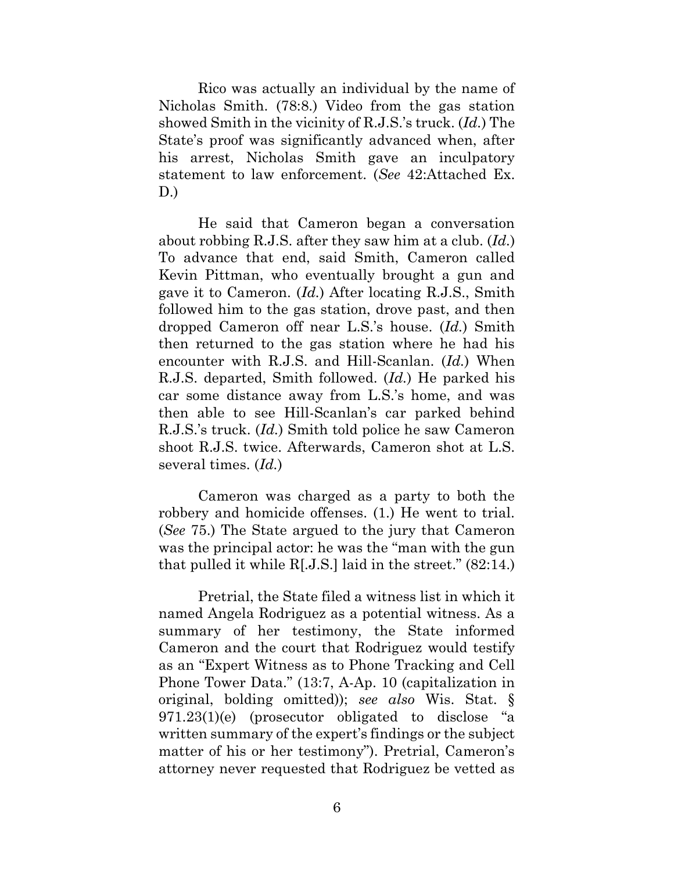Rico was actually an individual by the name of Nicholas Smith. (78:8.) Video from the gas station showed Smith in the vicinity of R.J.S.'s truck. (*Id.*) The State's proof was significantly advanced when, after his arrest, Nicholas Smith gave an inculpatory statement to law enforcement. (*See* 42:Attached Ex. D.)

He said that Cameron began a conversation about robbing R.J.S. after they saw him at a club. (*Id.*) To advance that end, said Smith, Cameron called Kevin Pittman, who eventually brought a gun and gave it to Cameron. (*Id.*) After locating R.J.S., Smith followed him to the gas station, drove past, and then dropped Cameron off near L.S.'s house. (*Id.*) Smith then returned to the gas station where he had his encounter with R.J.S. and Hill-Scanlan. (*Id.*) When R.J.S. departed, Smith followed. (*Id.*) He parked his car some distance away from L.S.'s home, and was then able to see Hill-Scanlan's car parked behind R.J.S.'s truck. (*Id.*) Smith told police he saw Cameron shoot R.J.S. twice. Afterwards, Cameron shot at L.S. several times. (*Id.*)

Cameron was charged as a party to both the robbery and homicide offenses. (1.) He went to trial. (*See* 75.) The State argued to the jury that Cameron was the principal actor: he was the "man with the gun that pulled it while R[.J.S.] laid in the street." (82:14.)

Pretrial, the State filed a witness list in which it named Angela Rodriguez as a potential witness. As a summary of her testimony, the State informed Cameron and the court that Rodriguez would testify as an "Expert Witness as to Phone Tracking and Cell Phone Tower Data." (13:7, A-Ap. 10 (capitalization in original, bolding omitted)); *see also* Wis. Stat. § 971.23(1)(e) (prosecutor obligated to disclose "a written summary of the expert's findings or the subject matter of his or her testimony"). Pretrial, Cameron's attorney never requested that Rodriguez be vetted as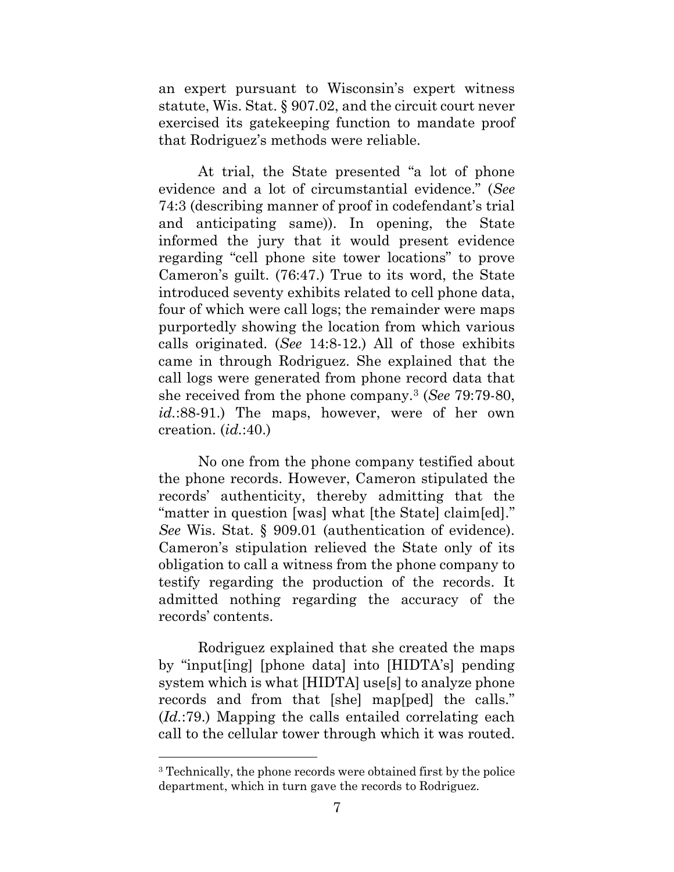an expert pursuant to Wisconsin's expert witness statute, Wis. Stat. § 907.02, and the circuit court never exercised its gatekeeping function to mandate proof that Rodriguez's methods were reliable.

At trial, the State presented "a lot of phone evidence and a lot of circumstantial evidence." (*See*  74:3 (describing manner of proof in codefendant's trial and anticipating same)). In opening, the State informed the jury that it would present evidence regarding "cell phone site tower locations" to prove Cameron's guilt. (76:47.) True to its word, the State introduced seventy exhibits related to cell phone data, four of which were call logs; the remainder were maps purportedly showing the location from which various calls originated. (*See* 14:8-12.) All of those exhibits came in through Rodriguez. She explained that the call logs were generated from phone record data that she received from the phone company.<sup>3</sup> (*See* 79:79-80, *id.*:88-91.) The maps, however, were of her own creation. (*id.*:40.)

No one from the phone company testified about the phone records. However, Cameron stipulated the records' authenticity, thereby admitting that the "matter in question [was] what [the State] claim[ed]." *See* Wis. Stat. § 909.01 (authentication of evidence). Cameron's stipulation relieved the State only of its obligation to call a witness from the phone company to testify regarding the production of the records. It admitted nothing regarding the accuracy of the records' contents.

Rodriguez explained that she created the maps by "input[ing] [phone data] into [HIDTA's] pending system which is what [HIDTA] use[s] to analyze phone records and from that [she] map[ped] the calls." (*Id.*:79.) Mapping the calls entailed correlating each call to the cellular tower through which it was routed.

<sup>3</sup> Technically, the phone records were obtained first by the police department, which in turn gave the records to Rodriguez.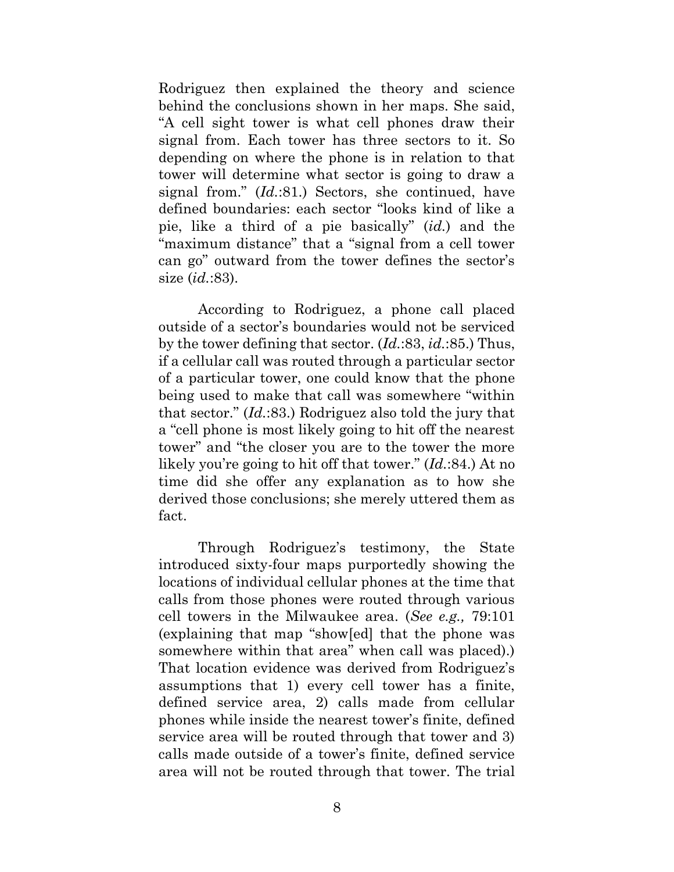Rodriguez then explained the theory and science behind the conclusions shown in her maps. She said, "A cell sight tower is what cell phones draw their signal from. Each tower has three sectors to it. So depending on where the phone is in relation to that tower will determine what sector is going to draw a signal from." (*Id.*:81.) Sectors, she continued, have defined boundaries: each sector "looks kind of like a pie, like a third of a pie basically" (*id.*) and the "maximum distance" that a "signal from a cell tower can go" outward from the tower defines the sector's size (*id.*:83).

According to Rodriguez, a phone call placed outside of a sector's boundaries would not be serviced by the tower defining that sector. (*Id.*:83, *id.*:85.) Thus, if a cellular call was routed through a particular sector of a particular tower, one could know that the phone being used to make that call was somewhere "within that sector." (*Id.*:83.) Rodriguez also told the jury that a "cell phone is most likely going to hit off the nearest tower" and "the closer you are to the tower the more likely you're going to hit off that tower." (*Id.*:84.) At no time did she offer any explanation as to how she derived those conclusions; she merely uttered them as fact.

Through Rodriguez's testimony, the State introduced sixty-four maps purportedly showing the locations of individual cellular phones at the time that calls from those phones were routed through various cell towers in the Milwaukee area. (*See e.g.,* 79:101 (explaining that map "show[ed] that the phone was somewhere within that area" when call was placed).) That location evidence was derived from Rodriguez's assumptions that 1) every cell tower has a finite, defined service area, 2) calls made from cellular phones while inside the nearest tower's finite, defined service area will be routed through that tower and 3) calls made outside of a tower's finite, defined service area will not be routed through that tower. The trial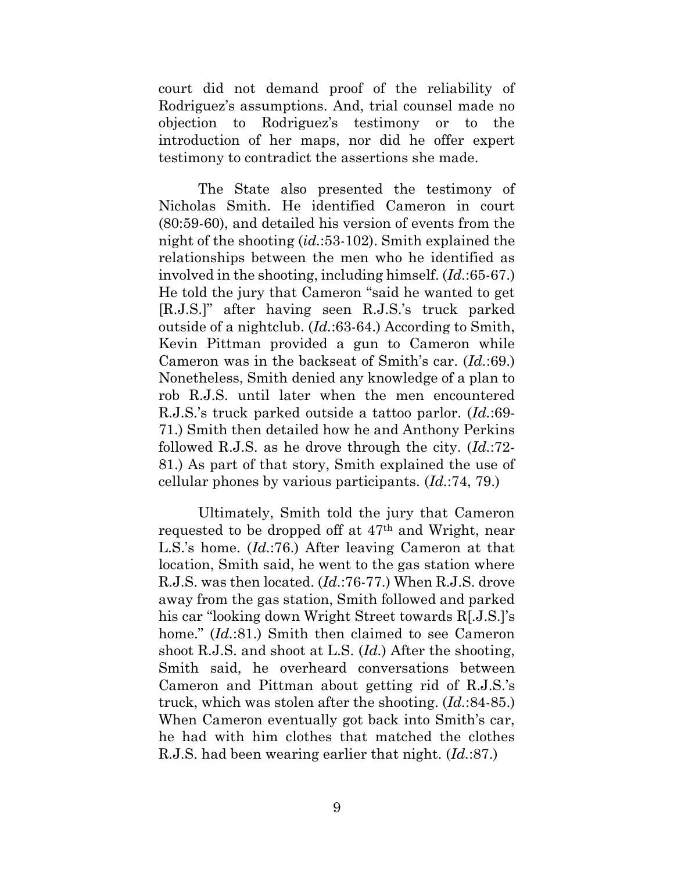court did not demand proof of the reliability of Rodriguez's assumptions. And, trial counsel made no objection to Rodriguez's testimony or to the introduction of her maps, nor did he offer expert testimony to contradict the assertions she made.

The State also presented the testimony of Nicholas Smith. He identified Cameron in court (80:59-60), and detailed his version of events from the night of the shooting (*id.*:53-102). Smith explained the relationships between the men who he identified as involved in the shooting, including himself. (*Id.*:65-67.) He told the jury that Cameron "said he wanted to get [R.J.S.]" after having seen R.J.S.'s truck parked outside of a nightclub. (*Id.*:63-64.) According to Smith, Kevin Pittman provided a gun to Cameron while Cameron was in the backseat of Smith's car. (*Id.*:69.) Nonetheless, Smith denied any knowledge of a plan to rob R.J.S. until later when the men encountered R.J.S.'s truck parked outside a tattoo parlor. (*Id.*:69- 71.) Smith then detailed how he and Anthony Perkins followed R.J.S. as he drove through the city. (*Id.*:72- 81.) As part of that story, Smith explained the use of cellular phones by various participants. (*Id.*:74, 79.)

Ultimately, Smith told the jury that Cameron requested to be dropped off at 47th and Wright, near L.S.'s home. (*Id.*:76.) After leaving Cameron at that location, Smith said, he went to the gas station where R.J.S. was then located. (*Id.*:76-77.) When R.J.S. drove away from the gas station, Smith followed and parked his car "looking down Wright Street towards R[.J.S.]'s home." (*Id.*:81.) Smith then claimed to see Cameron shoot R.J.S. and shoot at L.S. (*Id.*) After the shooting, Smith said, he overheard conversations between Cameron and Pittman about getting rid of R.J.S.'s truck, which was stolen after the shooting. (*Id.*:84-85.) When Cameron eventually got back into Smith's car, he had with him clothes that matched the clothes R.J.S. had been wearing earlier that night. (*Id.*:87.)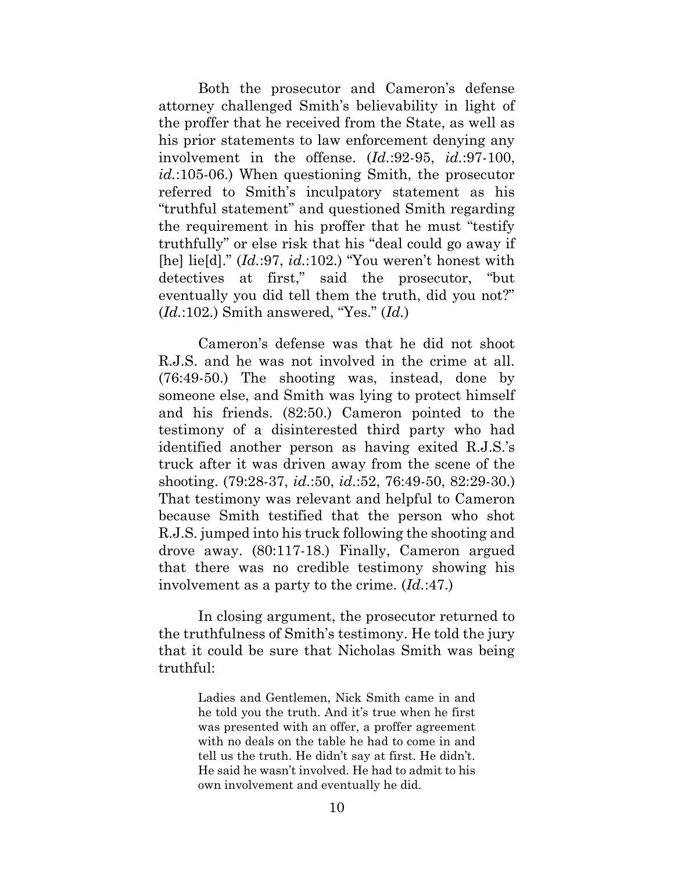Both the prosecutor and Cameron's defense attorney challenged Smith's believability in light of the proffer that he received from the State, as well as his prior statements to law enforcement denying any involvement in the offense. (*Id.*:92-95, *id.*:97-100, *id.*:105-06.) When questioning Smith, the prosecutor referred to Smith's inculpatory statement as his "truthful statement" and questioned Smith regarding the requirement in his proffer that he must "testify truthfully" or else risk that his "deal could go away if [he] lie[d]." (*Id.*:97, *id.*:102.) "You weren't honest with detectives at first," said the prosecutor, "but eventually you did tell them the truth, did you not?" (*Id.*:102.) Smith answered, "Yes." (*Id.*)

Cameron's defense was that he did not shoot R.J.S. and he was not involved in the crime at all. (76:49-50.) The shooting was, instead, done by someone else, and Smith was lying to protect himself and his friends. (82:50.) Cameron pointed to the testimony of a disinterested third party who had identified another person as having exited R.J.S.'s truck after it was driven away from the scene of the shooting. (79:28-37, *id.*:50, *id.*:52, 76:49-50, 82:29-30.) That testimony was relevant and helpful to Cameron because Smith testified that the person who shot R.J.S. jumped into his truck following the shooting and drove away. (80:117-18.) Finally, Cameron argued that there was no credible testimony showing his involvement as a party to the crime. (*Id.*:47.)

In closing argument, the prosecutor returned to the truthfulness of Smith's testimony. He told the jury that it could be sure that Nicholas Smith was being truthful:

> Ladies and Gentlemen, Nick Smith came in and he told you the truth. And it's true when he first was presented with an offer, a proffer agreement with no deals on the table he had to come in and tell us the truth. He didn't say at first. He didn't. He said he wasn't involved. He had to admit to his own involvement and eventually he did.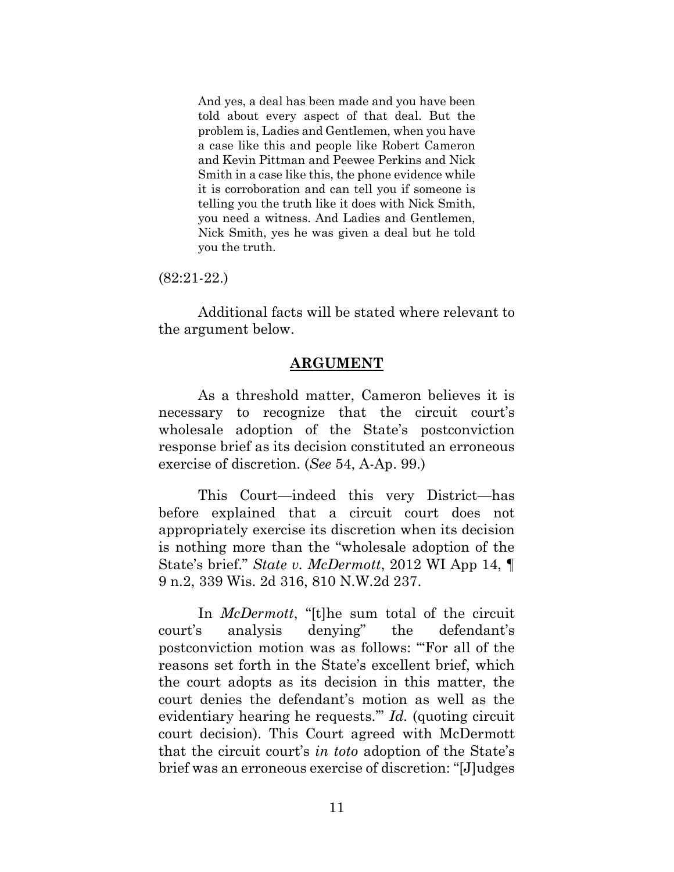And yes, a deal has been made and you have been told about every aspect of that deal. But the problem is, Ladies and Gentlemen, when you have a case like this and people like Robert Cameron and Kevin Pittman and Peewee Perkins and Nick Smith in a case like this, the phone evidence while it is corroboration and can tell you if someone is telling you the truth like it does with Nick Smith, you need a witness. And Ladies and Gentlemen, Nick Smith, yes he was given a deal but he told you the truth.

(82:21-22.)

Additional facts will be stated where relevant to the argument below.

#### **ARGUMENT**

<span id="page-18-0"></span>As a threshold matter, Cameron believes it is necessary to recognize that the circuit court's wholesale adoption of the State's postconviction response brief as its decision constituted an erroneous exercise of discretion. (*See* 54, A-Ap. 99.)

This Court—indeed this very District—has before explained that a circuit court does not appropriately exercise its discretion when its decision is nothing more than the "wholesale adoption of the State's brief." *State v. McDermott*, 2012 WI App 14, ¶ 9 n.2, 339 Wis. 2d 316, 810 N.W.2d 237.

In *McDermott*, "[t]he sum total of the circuit court's analysis denying" the defendant's postconviction motion was as follows: "'For all of the reasons set forth in the State's excellent brief, which the court adopts as its decision in this matter, the court denies the defendant's motion as well as the evidentiary hearing he requests.'" *Id.* (quoting circuit court decision). This Court agreed with McDermott that the circuit court's *in toto* adoption of the State's brief was an erroneous exercise of discretion: "[J]udges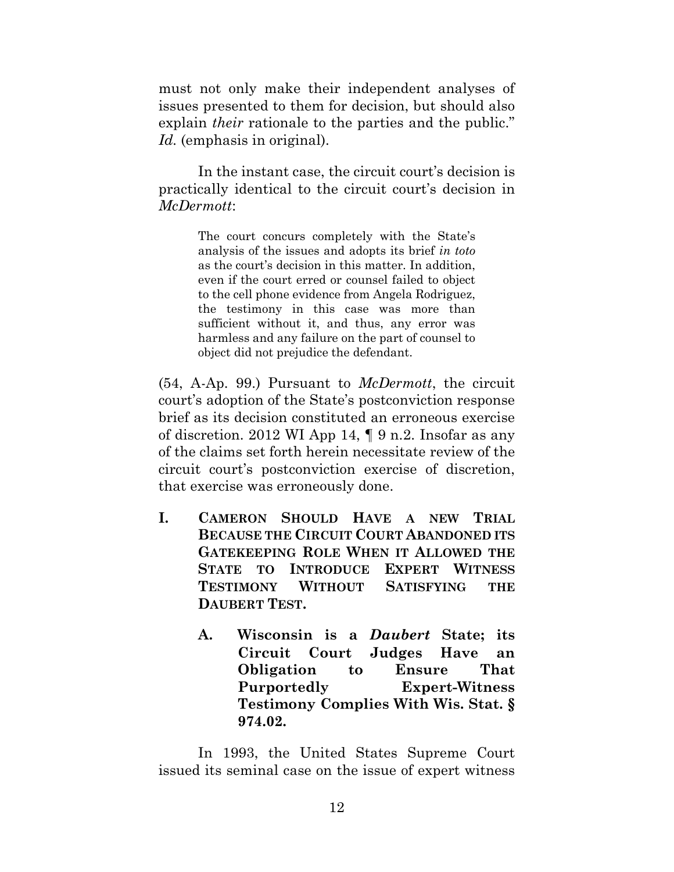must not only make their independent analyses of issues presented to them for decision, but should also explain *their* rationale to the parties and the public." *Id.* (emphasis in original).

In the instant case, the circuit court's decision is practically identical to the circuit court's decision in *McDermott*:

> The court concurs completely with the State's analysis of the issues and adopts its brief *in toto* as the court's decision in this matter. In addition, even if the court erred or counsel failed to object to the cell phone evidence from Angela Rodriguez, the testimony in this case was more than sufficient without it, and thus, any error was harmless and any failure on the part of counsel to object did not prejudice the defendant.

(54, A-Ap. 99.) Pursuant to *McDermott*, the circuit court's adoption of the State's postconviction response brief as its decision constituted an erroneous exercise of discretion. 2012 WI App 14, ¶ 9 n.2. Insofar as any of the claims set forth herein necessitate review of the circuit court's postconviction exercise of discretion, that exercise was erroneously done.

- <span id="page-19-1"></span><span id="page-19-0"></span>**I. CAMERON SHOULD HAVE A NEW TRIAL BECAUSE THE CIRCUIT COURT ABANDONED ITS GATEKEEPING ROLE WHEN IT ALLOWED THE STATE TO INTRODUCE EXPERT WITNESS TESTIMONY WITHOUT SATISFYING THE DAUBERT TEST.**
	- **A. Wisconsin is a** *Daubert* **State; its Circuit Court Judges Have an Obligation to Ensure That Purportedly Expert-Witness Testimony Complies With Wis. Stat. § 974.02.**

In 1993, the United States Supreme Court issued its seminal case on the issue of expert witness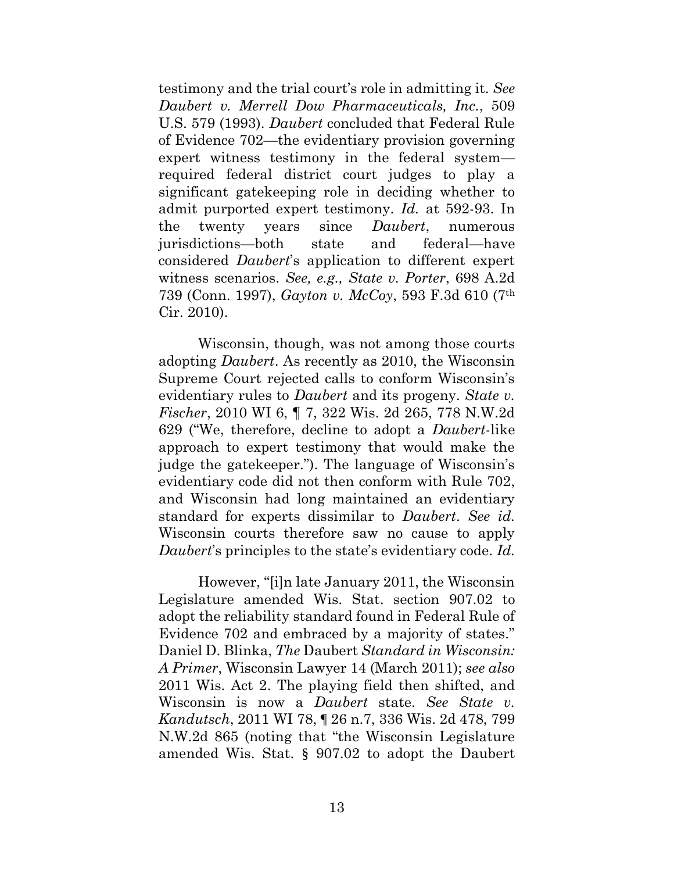testimony and the trial court's role in admitting it. *See Daubert v. Merrell Dow Pharmaceuticals, Inc.*, 509 U.S. 579 (1993). *Daubert* concluded that Federal Rule of Evidence 702—the evidentiary provision governing expert witness testimony in the federal system required federal district court judges to play a significant gatekeeping role in deciding whether to admit purported expert testimony. *Id.* at 592-93. In the twenty years since *Daubert*, numerous jurisdictions—both state and federal—have considered *Daubert*'s application to different expert witness scenarios. *See, e.g., State v. Porter*, 698 A.2d 739 (Conn. 1997), *Gayton v. McCoy*, 593 F.3d 610 (7th Cir. 2010).

Wisconsin, though, was not among those courts adopting *Daubert*. As recently as 2010, the Wisconsin Supreme Court rejected calls to conform Wisconsin's evidentiary rules to *Daubert* and its progeny. *State v. Fischer*, 2010 WI 6, ¶ 7, 322 Wis. 2d 265, 778 N.W.2d 629 ("We, therefore, decline to adopt a *Daubert*-like approach to expert testimony that would make the judge the gatekeeper."). The language of Wisconsin's evidentiary code did not then conform with Rule 702, and Wisconsin had long maintained an evidentiary standard for experts dissimilar to *Daubert*. *See id.* Wisconsin courts therefore saw no cause to apply *Daubert*'s principles to the state's evidentiary code. *Id.*

However, "[i]n late January 2011, the Wisconsin Legislature amended Wis. Stat. section 907.02 to adopt the reliability standard found in Federal Rule of Evidence 702 and embraced by a majority of states." Daniel D. Blinka, *The* Daubert *Standard in Wisconsin: A Primer*, Wisconsin Lawyer 14 (March 2011); *see also*  2011 Wis. Act 2. The playing field then shifted, and Wisconsin is now a *Daubert* state. *See State v. Kandutsch*, 2011 WI 78, ¶ 26 n.7, 336 Wis. 2d 478, 799 N.W.2d 865 (noting that "the Wisconsin Legislature amended Wis. Stat. § 907.02 to adopt the Daubert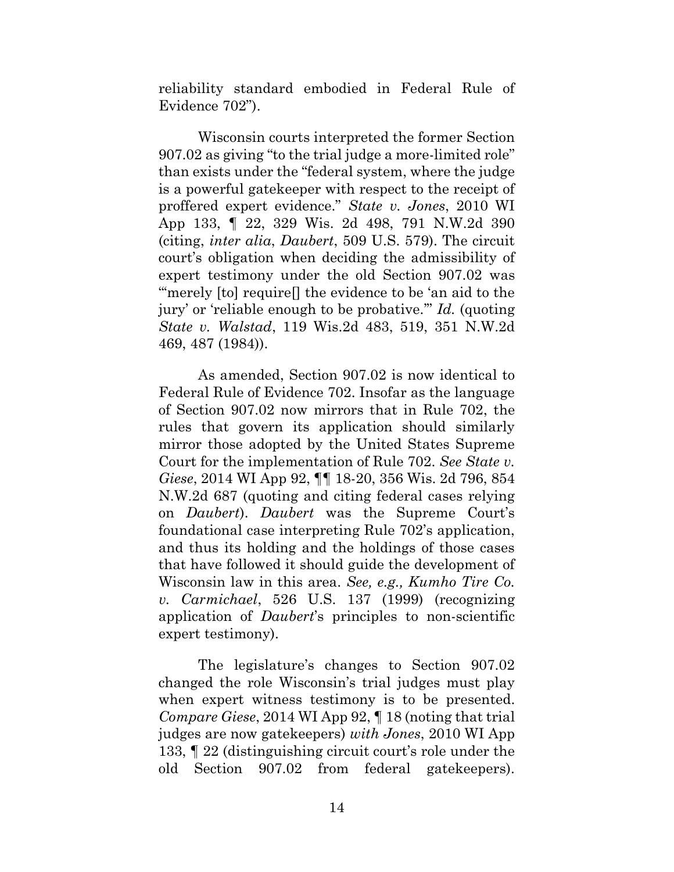reliability standard embodied in Federal Rule of Evidence 702").

Wisconsin courts interpreted the former Section 907.02 as giving "to the trial judge a more-limited role" than exists under the "federal system, where the judge is a powerful gatekeeper with respect to the receipt of proffered expert evidence." *State v. Jones*, 2010 WI App 133, ¶ 22, 329 Wis. 2d 498, 791 N.W.2d 390 (citing, *inter alia*, *Daubert*, 509 U.S. 579). The circuit court's obligation when deciding the admissibility of expert testimony under the old Section 907.02 was "merely [to] require<sup>[]</sup> the evidence to be 'an aid to the jury' or 'reliable enough to be probative.'" *Id.* (quoting *State v. Walstad*, 119 Wis.2d 483, 519, 351 N.W.2d 469, 487 (1984)).

As amended, Section 907.02 is now identical to Federal Rule of Evidence 702. Insofar as the language of Section 907.02 now mirrors that in Rule 702, the rules that govern its application should similarly mirror those adopted by the United States Supreme Court for the implementation of Rule 702. *See State v. Giese*, 2014 WI App 92, ¶¶ 18-20, 356 Wis. 2d 796, 854 N.W.2d 687 (quoting and citing federal cases relying on *Daubert*). *Daubert* was the Supreme Court's foundational case interpreting Rule 702's application, and thus its holding and the holdings of those cases that have followed it should guide the development of Wisconsin law in this area. *See, e.g., Kumho Tire Co. v. Carmichael*, 526 U.S. 137 (1999) (recognizing application of *Daubert*'s principles to non-scientific expert testimony).

The legislature's changes to Section 907.02 changed the role Wisconsin's trial judges must play when expert witness testimony is to be presented. *Compare Giese*, 2014 WI App 92, ¶ 18 (noting that trial judges are now gatekeepers) *with Jones*, 2010 WI App 133, ¶ 22 (distinguishing circuit court's role under the old Section 907.02 from federal gatekeepers).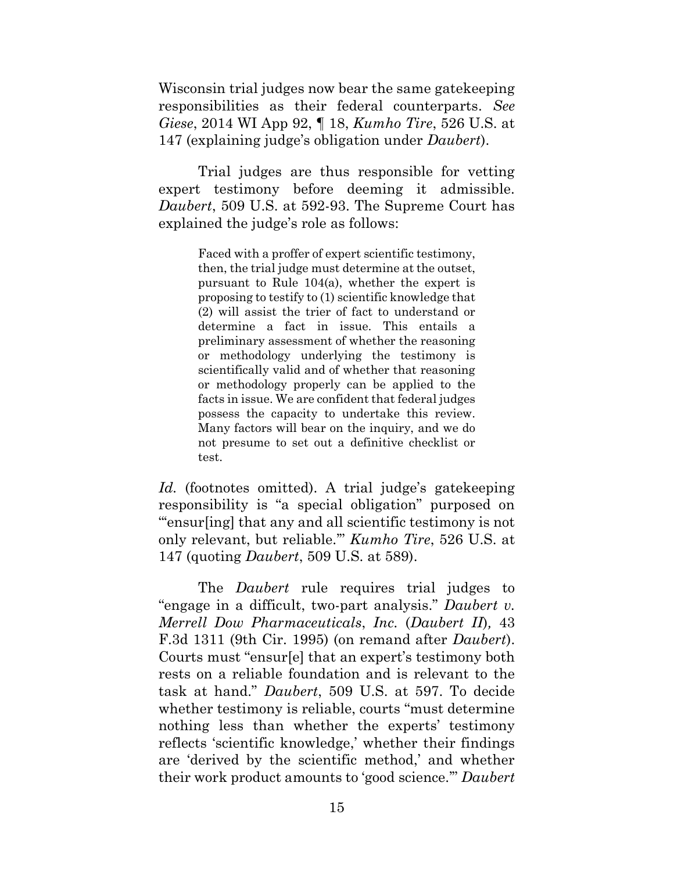Wisconsin trial judges now bear the same gatekeeping responsibilities as their federal counterparts. *See Giese*, 2014 WI App 92, ¶ 18, *Kumho Tire*, 526 U.S. at 147 (explaining judge's obligation under *Daubert*).

Trial judges are thus responsible for vetting expert testimony before deeming it admissible. *Daubert*, 509 U.S. at 592-93. The Supreme Court has explained the judge's role as follows:

> Faced with a proffer of expert scientific testimony, then, the trial judge must determine at the outset, pursuant to Rule 104(a), whether the expert is proposing to testify to (1) scientific knowledge that (2) will assist the trier of fact to understand or determine a fact in issue. This entails a preliminary assessment of whether the reasoning or methodology underlying the testimony is scientifically valid and of whether that reasoning or methodology properly can be applied to the facts in issue. We are confident that federal judges possess the capacity to undertake this review. Many factors will bear on the inquiry, and we do not presume to set out a definitive checklist or test.

Id. (footnotes omitted). A trial judge's gatekeeping responsibility is "a special obligation" purposed on "'ensur[ing] that any and all scientific testimony is not only relevant, but reliable.'" *Kumho Tire*, 526 U.S. at 147 (quoting *Daubert*, 509 U.S. at 589).

The *Daubert* rule requires trial judges to "engage in a difficult, two-part analysis." *Daubert v. Merrell Dow Pharmaceuticals*, *Inc.* (*Daubert II*)*,* 43 F.3d 1311 (9th Cir. 1995) (on remand after *Daubert*). Courts must "ensur[e] that an expert's testimony both rests on a reliable foundation and is relevant to the task at hand." *Daubert*, 509 U.S. at 597. To decide whether testimony is reliable, courts "must determine nothing less than whether the experts' testimony reflects 'scientific knowledge,' whether their findings are 'derived by the scientific method,' and whether their work product amounts to 'good science.'" *Daubert*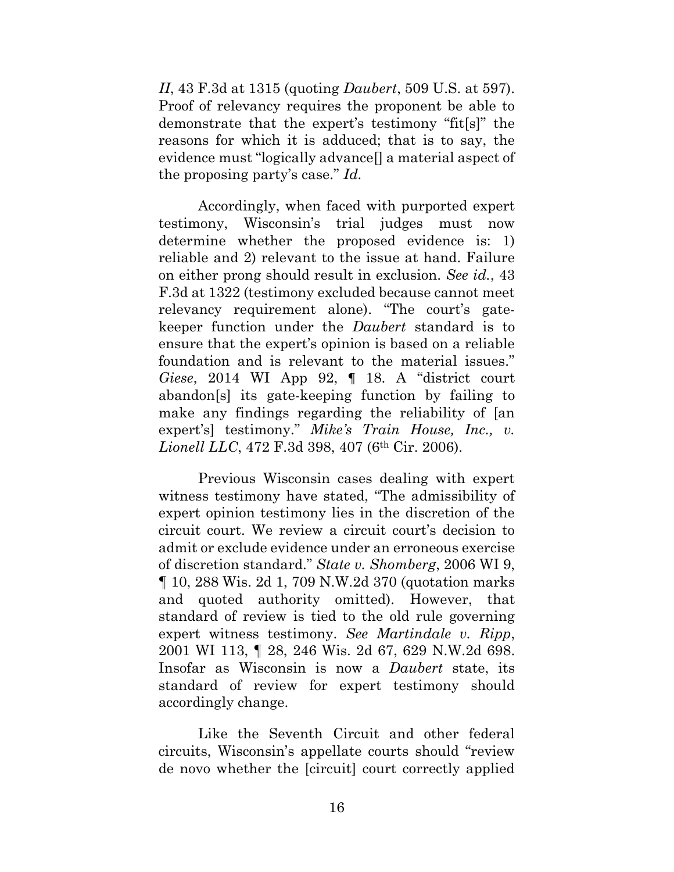*II*, 43 F.3d at 1315 (quoting *Daubert*, 509 U.S. at 597). Proof of relevancy requires the proponent be able to demonstrate that the expert's testimony "fit[s]" the reasons for which it is adduced; that is to say, the evidence must "logically advance[] a material aspect of the proposing party's case." *Id.*

Accordingly, when faced with purported expert testimony, Wisconsin's trial judges must now determine whether the proposed evidence is: 1) reliable and 2) relevant to the issue at hand. Failure on either prong should result in exclusion. *See id.*, 43 F.3d at 1322 (testimony excluded because cannot meet relevancy requirement alone). "The court's gatekeeper function under the *Daubert* standard is to ensure that the expert's opinion is based on a reliable foundation and is relevant to the material issues." *Giese*, 2014 WI App 92, ¶ 18. A "district court abandon[s] its gate-keeping function by failing to make any findings regarding the reliability of [an expert's] testimony." *Mike's Train House, Inc., v. Lionell LLC*, 472 F.3d 398, 407 (6<sup>th</sup> Cir. 2006).

Previous Wisconsin cases dealing with expert witness testimony have stated, "The admissibility of expert opinion testimony lies in the discretion of the circuit court. We review a circuit court's decision to admit or exclude evidence under an erroneous exercise of discretion standard." *State v. Shomberg*, 2006 WI 9, ¶ 10, 288 Wis. 2d 1, 709 N.W.2d 370 (quotation marks and quoted authority omitted). However, that standard of review is tied to the old rule governing expert witness testimony. *See Martindale v. Ripp*, 2001 WI 113, ¶ 28, 246 Wis. 2d 67, 629 N.W.2d 698. Insofar as Wisconsin is now a *Daubert* state, its standard of review for expert testimony should accordingly change.

Like the Seventh Circuit and other federal circuits, Wisconsin's appellate courts should "review de novo whether the [circuit] court correctly applied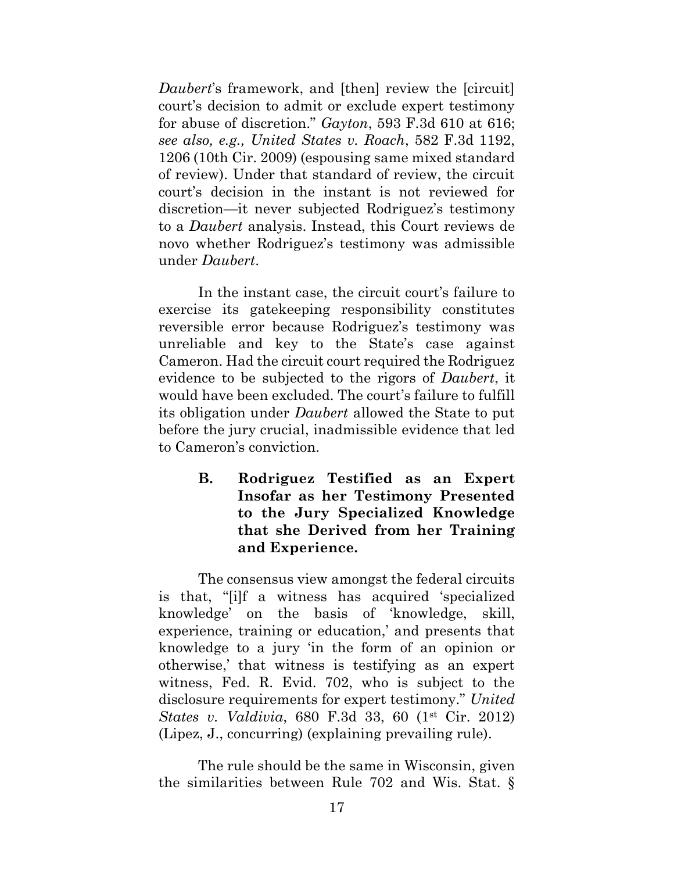*Daubert*'s framework, and [then] review the [circuit] court's decision to admit or exclude expert testimony for abuse of discretion." *Gayton*, 593 F.3d 610 at 616; *see also, e.g., United States v. Roach*, 582 F.3d 1192, 1206 (10th Cir. 2009) (espousing same mixed standard of review). Under that standard of review, the circuit court's decision in the instant is not reviewed for discretion—it never subjected Rodriguez's testimony to a *Daubert* analysis. Instead, this Court reviews de novo whether Rodriguez's testimony was admissible under *Daubert*.

In the instant case, the circuit court's failure to exercise its gatekeeping responsibility constitutes reversible error because Rodriguez's testimony was unreliable and key to the State's case against Cameron. Had the circuit court required the Rodriguez evidence to be subjected to the rigors of *Daubert*, it would have been excluded. The court's failure to fulfill its obligation under *Daubert* allowed the State to put before the jury crucial, inadmissible evidence that led to Cameron's conviction.

> <span id="page-24-0"></span>**B. Rodriguez Testified as an Expert Insofar as her Testimony Presented to the Jury Specialized Knowledge that she Derived from her Training and Experience.**

The consensus view amongst the federal circuits is that, "[i]f a witness has acquired 'specialized knowledge' on the basis of 'knowledge, skill, experience, training or education,' and presents that knowledge to a jury 'in the form of an opinion or otherwise,' that witness is testifying as an expert witness, Fed. R. Evid. 702, who is subject to the disclosure requirements for expert testimony." *United States v. Valdivia*, 680 F.3d 33, 60 (1st Cir. 2012) (Lipez, J., concurring) (explaining prevailing rule).

The rule should be the same in Wisconsin, given the similarities between Rule 702 and Wis. Stat. §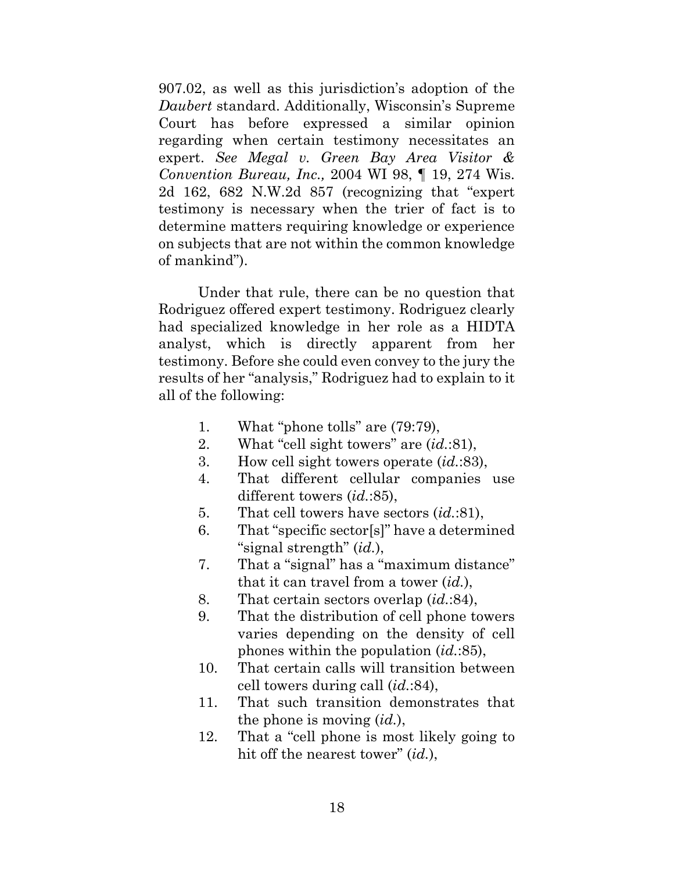907.02, as well as this jurisdiction's adoption of the *Daubert* standard. Additionally, Wisconsin's Supreme Court has before expressed a similar opinion regarding when certain testimony necessitates an expert. *See Megal v. Green Bay Area Visitor & Convention Bureau, Inc.,* 2004 WI 98, ¶ 19, 274 Wis. 2d 162, 682 N.W.2d 857 (recognizing that "expert testimony is necessary when the trier of fact is to determine matters requiring knowledge or experience on subjects that are not within the common knowledge of mankind").

Under that rule, there can be no question that Rodriguez offered expert testimony. Rodriguez clearly had specialized knowledge in her role as a HIDTA analyst, which is directly apparent from her testimony. Before she could even convey to the jury the results of her "analysis," Rodriguez had to explain to it all of the following:

- 1. What "phone tolls" are (79:79),
- 2. What "cell sight towers" are (*id.*:81),
- 3. How cell sight towers operate (*id.*:83),
- 4. That different cellular companies use different towers (*id.*:85),
- 5. That cell towers have sectors (*id.*:81),
- 6. That "specific sector[s]" have a determined "signal strength" (*id.*),
- 7. That a "signal" has a "maximum distance" that it can travel from a tower (*id.*),
- 8. That certain sectors overlap (*id.*:84),
- 9. That the distribution of cell phone towers varies depending on the density of cell phones within the population (*id.*:85),
- 10. That certain calls will transition between cell towers during call (*id.*:84),
- 11. That such transition demonstrates that the phone is moving (*id.*),
- 12. That a "cell phone is most likely going to hit off the nearest tower" (*id.*),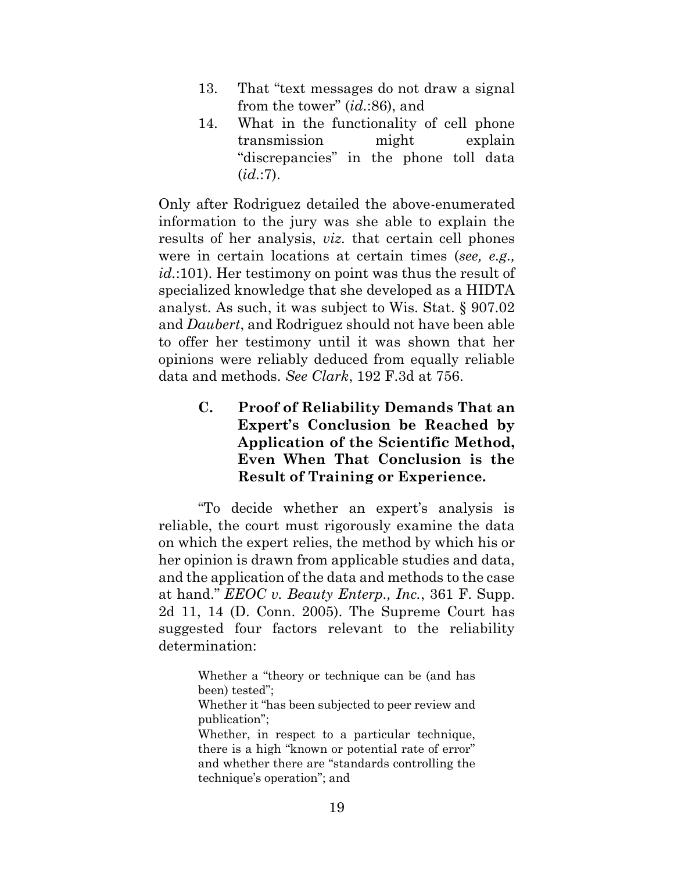- 13. That "text messages do not draw a signal from the tower" (*id.*:86), and
- 14. What in the functionality of cell phone transmission might explain "discrepancies" in the phone toll data (*id.*:7).

Only after Rodriguez detailed the above-enumerated information to the jury was she able to explain the results of her analysis, *viz.* that certain cell phones were in certain locations at certain times (*see, e.g., id.*:101). Her testimony on point was thus the result of specialized knowledge that she developed as a HIDTA analyst. As such, it was subject to Wis. Stat. § 907.02 and *Daubert*, and Rodriguez should not have been able to offer her testimony until it was shown that her opinions were reliably deduced from equally reliable data and methods. *See Clark*, 192 F.3d at 756.

> <span id="page-26-0"></span>**C. Proof of Reliability Demands That an Expert's Conclusion be Reached by Application of the Scientific Method, Even When That Conclusion is the Result of Training or Experience.**

"To decide whether an expert's analysis is reliable, the court must rigorously examine the data on which the expert relies, the method by which his or her opinion is drawn from applicable studies and data, and the application of the data and methods to the case at hand." *EEOC v. Beauty Enterp., Inc.*, 361 F. Supp. 2d 11, 14 (D. Conn. 2005). The Supreme Court has suggested four factors relevant to the reliability determination:

> Whether a "theory or technique can be (and has been) tested";

> Whether it "has been subjected to peer review and publication";

> Whether, in respect to a particular technique, there is a high "known or potential rate of error" and whether there are "standards controlling the technique's operation"; and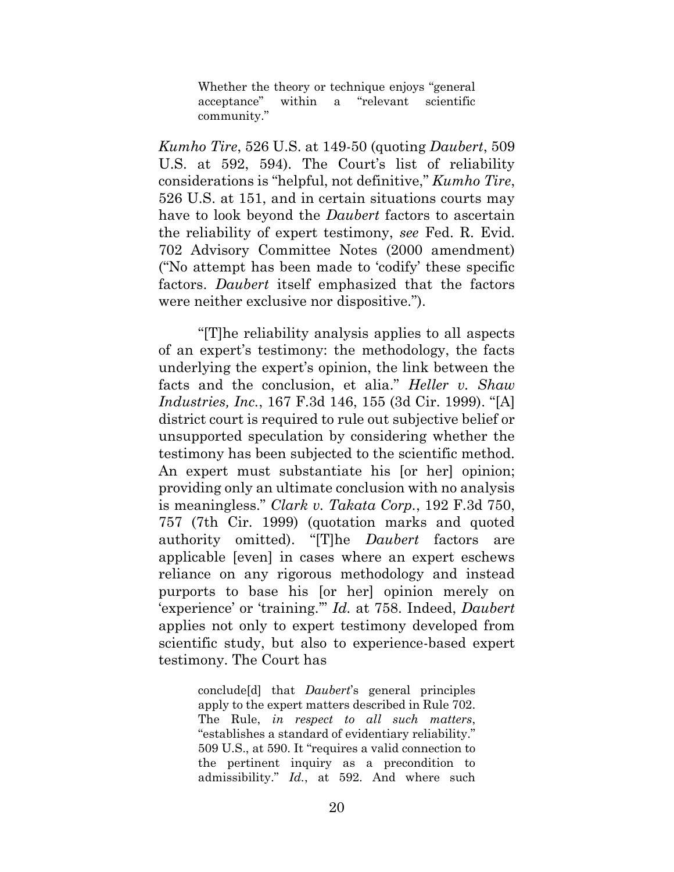Whether the theory or technique enjoys "general acceptance" within a "relevant scientific community."

*Kumho Tire*, 526 U.S. at 149-50 (quoting *Daubert*, 509 U.S. at 592, 594). The Court's list of reliability considerations is "helpful, not definitive," *Kumho Tire*, 526 U.S. at 151, and in certain situations courts may have to look beyond the *Daubert* factors to ascertain the reliability of expert testimony, *see* Fed. R. Evid. 702 Advisory Committee Notes (2000 amendment) ("No attempt has been made to 'codify' these specific factors. *Daubert* itself emphasized that the factors were neither exclusive nor dispositive.").

"[T]he reliability analysis applies to all aspects of an expert's testimony: the methodology, the facts underlying the expert's opinion, the link between the facts and the conclusion, et alia." *Heller v. Shaw Industries, Inc.*, 167 F.3d 146, 155 (3d Cir. 1999). "[A] district court is required to rule out subjective belief or unsupported speculation by considering whether the testimony has been subjected to the scientific method. An expert must substantiate his [or her] opinion; providing only an ultimate conclusion with no analysis is meaningless." *Clark v. Takata Corp.*, 192 F.3d 750, 757 (7th Cir. 1999) (quotation marks and quoted authority omitted). "[T]he *Daubert* factors are applicable [even] in cases where an expert eschews reliance on any rigorous methodology and instead purports to base his [or her] opinion merely on 'experience' or 'training.'" *Id.* at 758. Indeed, *Daubert* applies not only to expert testimony developed from scientific study, but also to experience-based expert testimony. The Court has

> conclude[d] that *Daubert*'s general principles apply to the expert matters described in Rule 702. The Rule, *in respect to all such matters*, "establishes a standard of evidentiary reliability." 509 U.S., at 590. It "requires a valid connection to the pertinent inquiry as a precondition to admissibility." *Id.*, at 592. And where such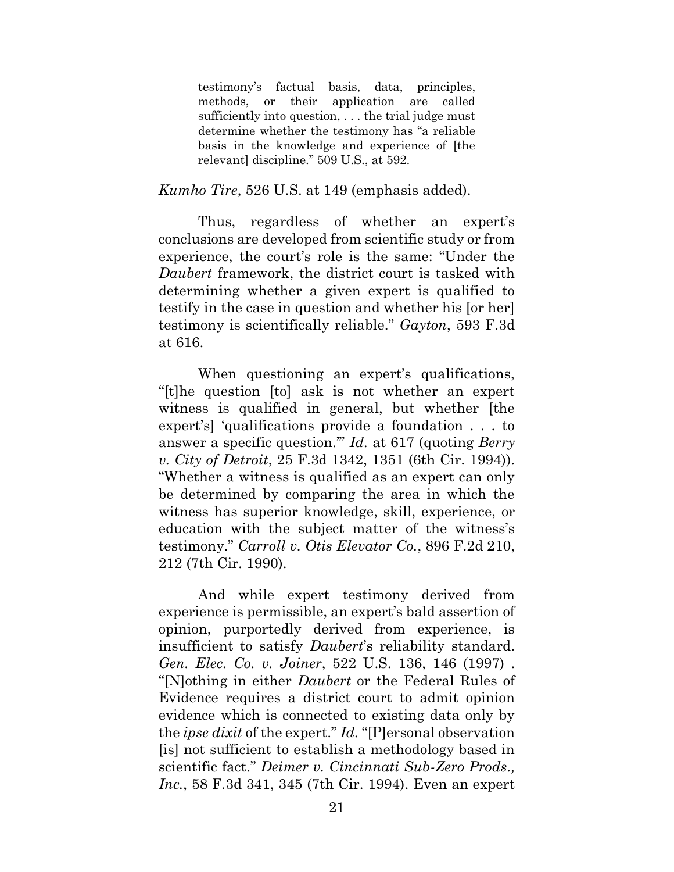testimony's factual basis, data, principles, methods, or their application are called sufficiently into question, . . . the trial judge must determine whether the testimony has "a reliable basis in the knowledge and experience of [the relevant] discipline." 509 U.S., at 592.

#### *Kumho Tire*, 526 U.S. at 149 (emphasis added).

Thus, regardless of whether an expert's conclusions are developed from scientific study or from experience, the court's role is the same: "Under the *Daubert* framework, the district court is tasked with determining whether a given expert is qualified to testify in the case in question and whether his [or her] testimony is scientifically reliable." *Gayton*, 593 F.3d at 616.

When questioning an expert's qualifications, "[t]he question [to] ask is not whether an expert witness is qualified in general, but whether [the expert's] 'qualifications provide a foundation . . . to answer a specific question.'" *Id.* at 617 (quoting *Berry v. City of Detroit*, 25 F.3d 1342, 1351 (6th Cir. 1994)). "Whether a witness is qualified as an expert can only be determined by comparing the area in which the witness has superior knowledge, skill, experience, or education with the subject matter of the witness's testimony." *Carroll v. Otis Elevator Co.*, 896 F.2d 210, 212 (7th Cir. 1990).

And while expert testimony derived from experience is permissible, an expert's bald assertion of opinion, purportedly derived from experience, is insufficient to satisfy *Daubert*'s reliability standard. *Gen. Elec. Co. v. Joiner*, 522 U.S. 136, 146 (1997) . "[N]othing in either *Daubert* or the Federal Rules of Evidence requires a district court to admit opinion evidence which is connected to existing data only by the *ipse dixit* of the expert." *Id.* "[P]ersonal observation [is] not sufficient to establish a methodology based in scientific fact." *Deimer v. Cincinnati Sub-Zero Prods., Inc.*, 58 F.3d 341, 345 (7th Cir. 1994). Even an expert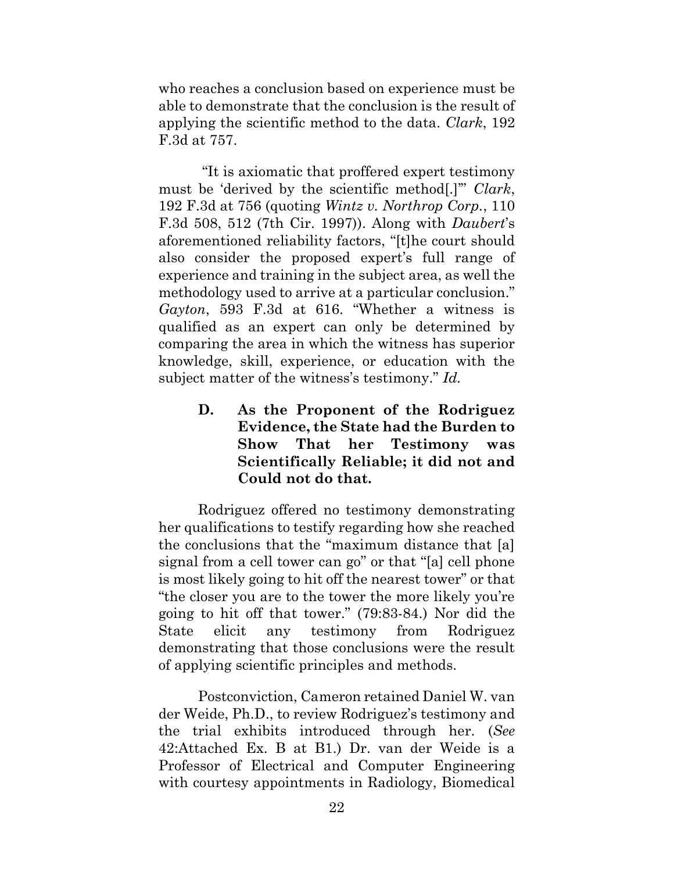who reaches a conclusion based on experience must be able to demonstrate that the conclusion is the result of applying the scientific method to the data. *Clark*, 192 F.3d at 757.

"It is axiomatic that proffered expert testimony must be 'derived by the scientific method[.]'" *Clark*, 192 F.3d at 756 (quoting *Wintz v. Northrop Corp.*, 110 F.3d 508, 512 (7th Cir. 1997)). Along with *Daubert*'s aforementioned reliability factors, "[t]he court should also consider the proposed expert's full range of experience and training in the subject area, as well the methodology used to arrive at a particular conclusion." *Gayton*, 593 F.3d at 616. "Whether a witness is qualified as an expert can only be determined by comparing the area in which the witness has superior knowledge, skill, experience, or education with the subject matter of the witness's testimony." *Id.*

> <span id="page-29-0"></span>**D. As the Proponent of the Rodriguez Evidence, the State had the Burden to Show That her Testimony was Scientifically Reliable; it did not and Could not do that.**

Rodriguez offered no testimony demonstrating her qualifications to testify regarding how she reached the conclusions that the "maximum distance that [a] signal from a cell tower can go" or that "[a] cell phone is most likely going to hit off the nearest tower" or that "the closer you are to the tower the more likely you're going to hit off that tower." (79:83-84.) Nor did the State elicit any testimony from Rodriguez demonstrating that those conclusions were the result of applying scientific principles and methods.

Postconviction, Cameron retained Daniel W. van der Weide, Ph.D., to review Rodriguez's testimony and the trial exhibits introduced through her. (*See* 42:Attached Ex. B at B1.) Dr. van der Weide is a Professor of Electrical and Computer Engineering with courtesy appointments in Radiology, Biomedical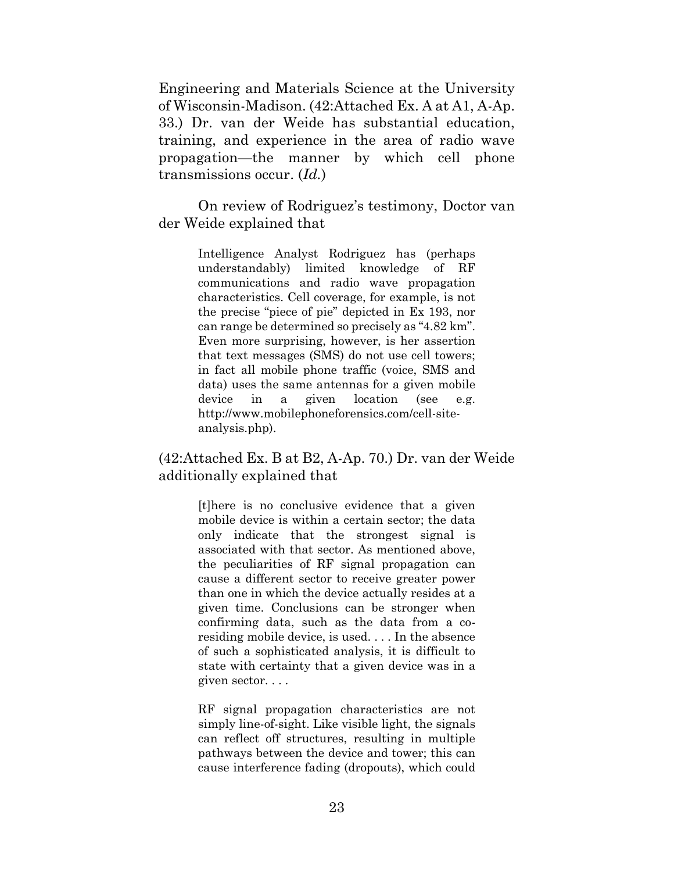Engineering and Materials Science at the University of Wisconsin-Madison. (42:Attached Ex. A at A1, A-Ap. 33.) Dr. van der Weide has substantial education, training, and experience in the area of radio wave propagation—the manner by which cell phone transmissions occur. (*Id.*)

On review of Rodriguez's testimony, Doctor van der Weide explained that

> Intelligence Analyst Rodriguez has (perhaps understandably) limited knowledge of RF communications and radio wave propagation characteristics. Cell coverage, for example, is not the precise "piece of pie" depicted in Ex 193, nor can range be determined so precisely as "4.82 km". Even more surprising, however, is her assertion that text messages (SMS) do not use cell towers; in fact all mobile phone traffic (voice, SMS and data) uses the same antennas for a given mobile device in a given location (see e.g. http://www.mobilephoneforensics.com/cell-siteanalysis.php).

### (42:Attached Ex. B at B2, A-Ap. 70.) Dr. van der Weide additionally explained that

[t]here is no conclusive evidence that a given mobile device is within a certain sector; the data only indicate that the strongest signal is associated with that sector. As mentioned above, the peculiarities of RF signal propagation can cause a different sector to receive greater power than one in which the device actually resides at a given time. Conclusions can be stronger when confirming data, such as the data from a coresiding mobile device, is used. . . . In the absence of such a sophisticated analysis, it is difficult to state with certainty that a given device was in a given sector. . . .

RF signal propagation characteristics are not simply line-of-sight. Like visible light, the signals can reflect off structures, resulting in multiple pathways between the device and tower; this can cause interference fading (dropouts), which could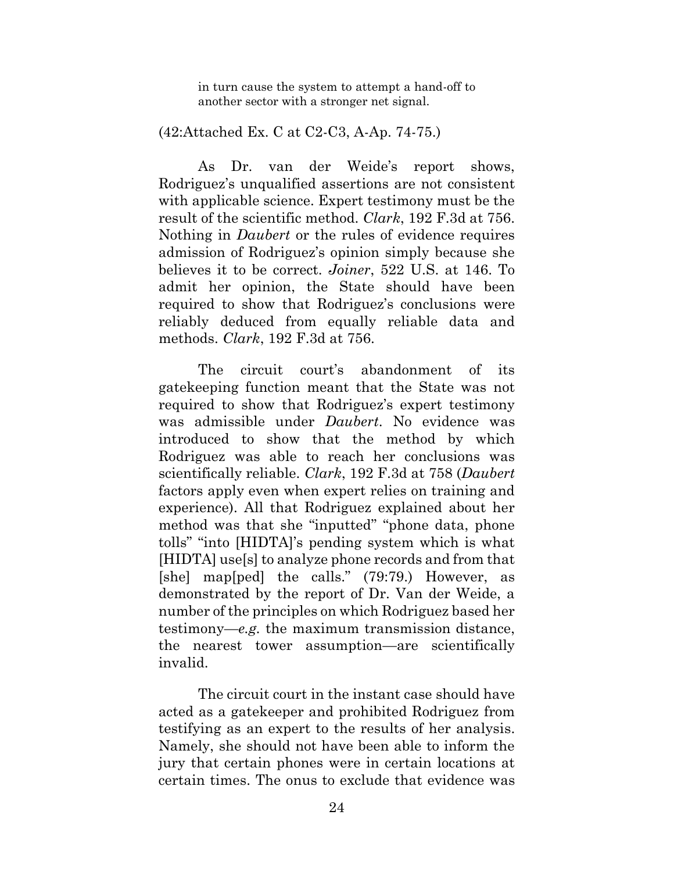in turn cause the system to attempt a hand-off to another sector with a stronger net signal.

#### (42:Attached Ex. C at C2-C3, A-Ap. 74-75.)

As Dr. van der Weide's report shows, Rodriguez's unqualified assertions are not consistent with applicable science. Expert testimony must be the result of the scientific method. *Clark*, 192 F.3d at 756. Nothing in *Daubert* or the rules of evidence requires admission of Rodriguez's opinion simply because she believes it to be correct. *Joiner*, 522 U.S. at 146. To admit her opinion, the State should have been required to show that Rodriguez's conclusions were reliably deduced from equally reliable data and methods. *Clark*, 192 F.3d at 756.

The circuit court's abandonment of its gatekeeping function meant that the State was not required to show that Rodriguez's expert testimony was admissible under *Daubert*. No evidence was introduced to show that the method by which Rodriguez was able to reach her conclusions was scientifically reliable. *Clark*, 192 F.3d at 758 (*Daubert* factors apply even when expert relies on training and experience). All that Rodriguez explained about her method was that she "inputted" "phone data, phone tolls" "into [HIDTA]'s pending system which is what [HIDTA] use[s] to analyze phone records and from that [she] map[ped] the calls." (79:79.) However, as demonstrated by the report of Dr. Van der Weide, a number of the principles on which Rodriguez based her testimony—*e.g.* the maximum transmission distance, the nearest tower assumption—are scientifically invalid.

The circuit court in the instant case should have acted as a gatekeeper and prohibited Rodriguez from testifying as an expert to the results of her analysis. Namely, she should not have been able to inform the jury that certain phones were in certain locations at certain times. The onus to exclude that evidence was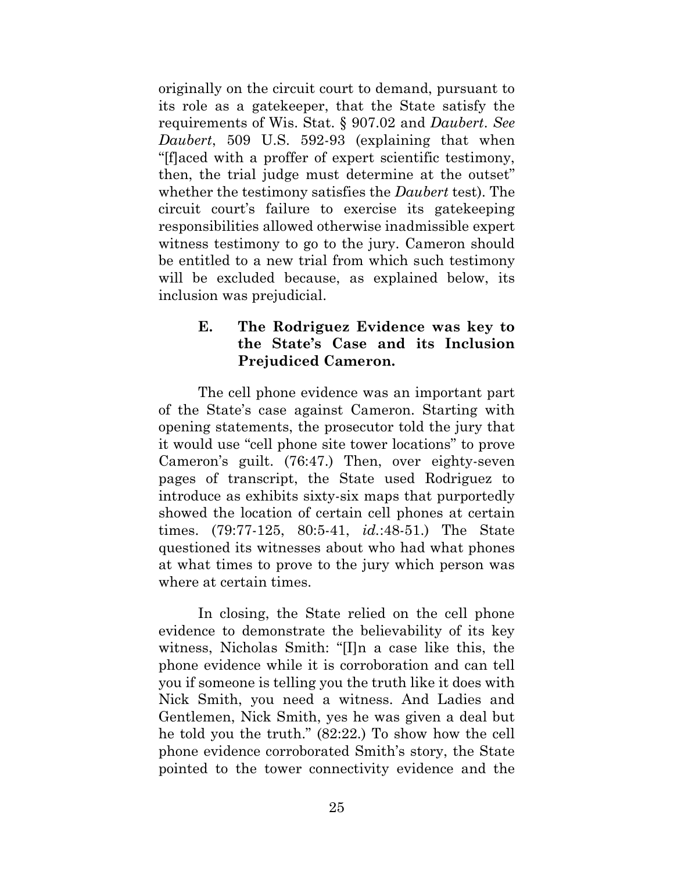originally on the circuit court to demand, pursuant to its role as a gatekeeper, that the State satisfy the requirements of Wis. Stat. § 907.02 and *Daubert*. *See Daubert*, 509 U.S. 592-93 (explaining that when "[f]aced with a proffer of expert scientific testimony, then, the trial judge must determine at the outset" whether the testimony satisfies the *Daubert* test). The circuit court's failure to exercise its gatekeeping responsibilities allowed otherwise inadmissible expert witness testimony to go to the jury. Cameron should be entitled to a new trial from which such testimony will be excluded because, as explained below, its inclusion was prejudicial.

# <span id="page-32-0"></span>**E. The Rodriguez Evidence was key to the State's Case and its Inclusion Prejudiced Cameron.**

The cell phone evidence was an important part of the State's case against Cameron. Starting with opening statements, the prosecutor told the jury that it would use "cell phone site tower locations" to prove Cameron's guilt. (76:47.) Then, over eighty-seven pages of transcript, the State used Rodriguez to introduce as exhibits sixty-six maps that purportedly showed the location of certain cell phones at certain times. (79:77-125, 80:5-41, *id.*:48-51.) The State questioned its witnesses about who had what phones at what times to prove to the jury which person was where at certain times.

In closing, the State relied on the cell phone evidence to demonstrate the believability of its key witness, Nicholas Smith: "[I]n a case like this, the phone evidence while it is corroboration and can tell you if someone is telling you the truth like it does with Nick Smith, you need a witness. And Ladies and Gentlemen, Nick Smith, yes he was given a deal but he told you the truth." (82:22.) To show how the cell phone evidence corroborated Smith's story, the State pointed to the tower connectivity evidence and the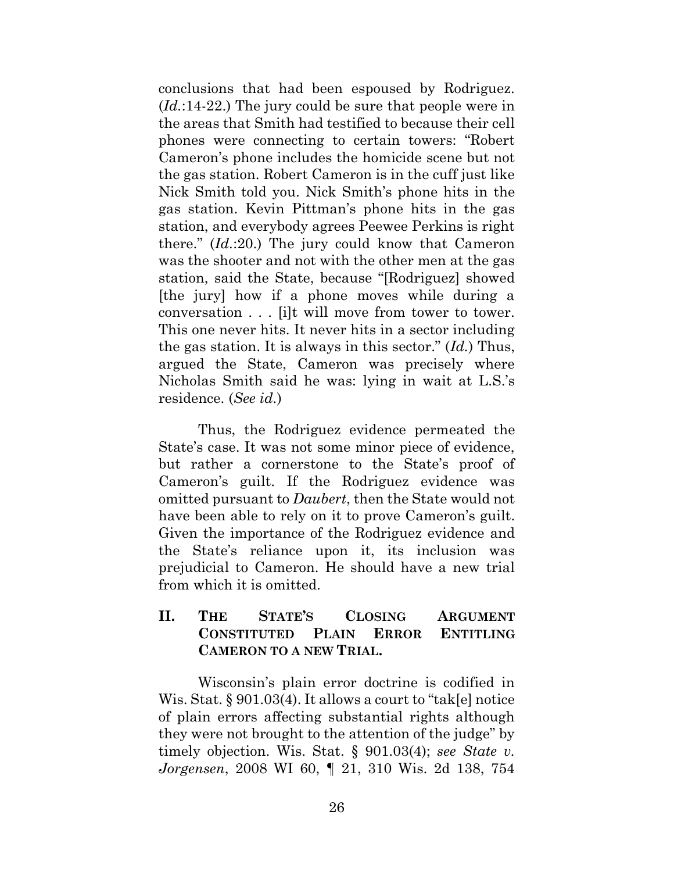conclusions that had been espoused by Rodriguez. (*Id.*:14-22.) The jury could be sure that people were in the areas that Smith had testified to because their cell phones were connecting to certain towers: "Robert Cameron's phone includes the homicide scene but not the gas station. Robert Cameron is in the cuff just like Nick Smith told you. Nick Smith's phone hits in the gas station. Kevin Pittman's phone hits in the gas station, and everybody agrees Peewee Perkins is right there." (*Id.*:20.) The jury could know that Cameron was the shooter and not with the other men at the gas station, said the State, because "[Rodriguez] showed [the jury] how if a phone moves while during a conversation . . . [i]t will move from tower to tower. This one never hits. It never hits in a sector including the gas station. It is always in this sector." (*Id.*) Thus, argued the State, Cameron was precisely where Nicholas Smith said he was: lying in wait at L.S.'s residence. (*See id.*)

Thus, the Rodriguez evidence permeated the State's case. It was not some minor piece of evidence, but rather a cornerstone to the State's proof of Cameron's guilt. If the Rodriguez evidence was omitted pursuant to *Daubert*, then the State would not have been able to rely on it to prove Cameron's guilt. Given the importance of the Rodriguez evidence and the State's reliance upon it, its inclusion was prejudicial to Cameron. He should have a new trial from which it is omitted.

# <span id="page-33-0"></span>**II. THE STATE'S CLOSING ARGUMENT CONSTITUTED PLAIN ERROR ENTITLING CAMERON TO A NEW TRIAL.**

Wisconsin's plain error doctrine is codified in Wis. Stat. § 901.03(4). It allows a court to "tak[e] notice of plain errors affecting substantial rights although they were not brought to the attention of the judge" by timely objection. Wis. Stat. § 901.03(4); *see State v. Jorgensen*, 2008 WI 60, ¶ 21, 310 Wis. 2d 138, 754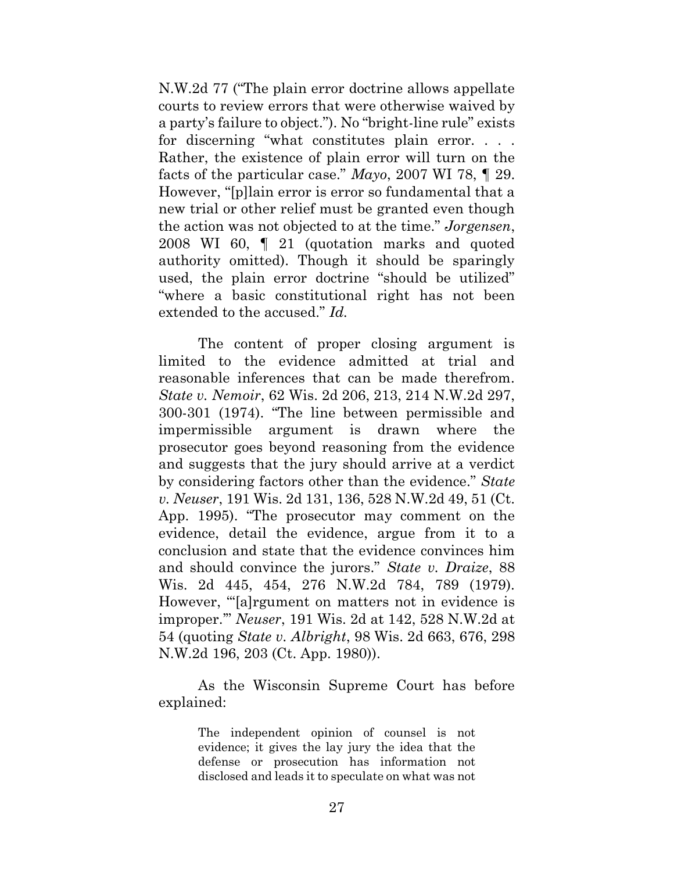N.W.2d 77 ("The plain error doctrine allows appellate courts to review errors that were otherwise waived by a party's failure to object."). No "bright-line rule" exists for discerning "what constitutes plain error. . . . Rather, the existence of plain error will turn on the facts of the particular case." *Mayo*, 2007 WI 78, ¶ 29. However, "[p]lain error is error so fundamental that a new trial or other relief must be granted even though the action was not objected to at the time." *Jorgensen*, 2008 WI 60, ¶ 21 (quotation marks and quoted authority omitted). Though it should be sparingly used, the plain error doctrine "should be utilized" "where a basic constitutional right has not been extended to the accused." *Id.*

The content of proper closing argument is limited to the evidence admitted at trial and reasonable inferences that can be made therefrom. *State v. Nemoir*, 62 Wis. 2d 206, 213, 214 N.W.2d 297, 300-301 (1974). "The line between permissible and impermissible argument is drawn where the prosecutor goes beyond reasoning from the evidence and suggests that the jury should arrive at a verdict by considering factors other than the evidence." *State v. Neuser*, 191 Wis. 2d 131, 136, 528 N.W.2d 49, 51 (Ct. App. 1995). "The prosecutor may comment on the evidence, detail the evidence, argue from it to a conclusion and state that the evidence convinces him and should convince the jurors." *State v. Draize*, 88 Wis. 2d 445, 454, 276 N.W.2d 784, 789 (1979). However, "'[a]rgument on matters not in evidence is improper.'" *Neuser*, 191 Wis. 2d at 142, 528 N.W.2d at 54 (quoting *State v. Albright*, 98 Wis. 2d 663, 676, 298 N.W.2d 196, 203 (Ct. App. 1980)).

As the Wisconsin Supreme Court has before explained:

> The independent opinion of counsel is not evidence; it gives the lay jury the idea that the defense or prosecution has information not disclosed and leads it to speculate on what was not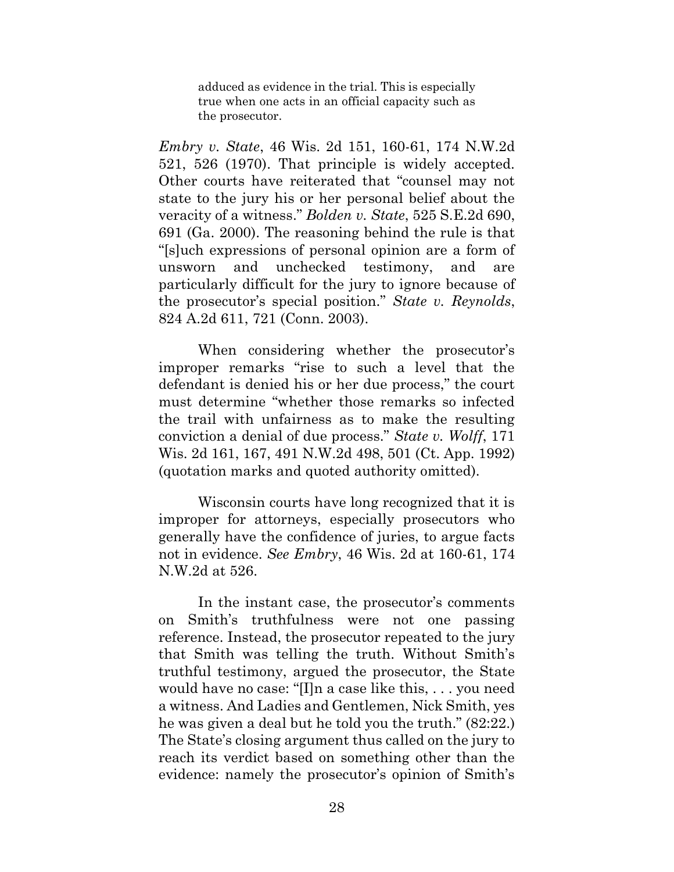adduced as evidence in the trial. This is especially true when one acts in an official capacity such as the prosecutor.

*Embry v. State*, 46 Wis. 2d 151, 160-61, 174 N.W.2d 521, 526 (1970). That principle is widely accepted. Other courts have reiterated that "counsel may not state to the jury his or her personal belief about the veracity of a witness." *Bolden v. State*, 525 S.E.2d 690, 691 (Ga. 2000). The reasoning behind the rule is that "[s]uch expressions of personal opinion are a form of unsworn and unchecked testimony, and are particularly difficult for the jury to ignore because of the prosecutor's special position." *State v. Reynolds*, 824 A.2d 611, 721 (Conn. 2003).

When considering whether the prosecutor's improper remarks "rise to such a level that the defendant is denied his or her due process," the court must determine "whether those remarks so infected the trail with unfairness as to make the resulting conviction a denial of due process." *State v. Wolff*, 171 Wis. 2d 161, 167, 491 N.W.2d 498, 501 (Ct. App. 1992) (quotation marks and quoted authority omitted).

Wisconsin courts have long recognized that it is improper for attorneys, especially prosecutors who generally have the confidence of juries, to argue facts not in evidence. *See Embry*, 46 Wis. 2d at 160-61, 174 N.W.2d at 526.

In the instant case, the prosecutor's comments on Smith's truthfulness were not one passing reference. Instead, the prosecutor repeated to the jury that Smith was telling the truth. Without Smith's truthful testimony, argued the prosecutor, the State would have no case: "[I]n a case like this, . . . you need a witness. And Ladies and Gentlemen, Nick Smith, yes he was given a deal but he told you the truth." (82:22.) The State's closing argument thus called on the jury to reach its verdict based on something other than the evidence: namely the prosecutor's opinion of Smith's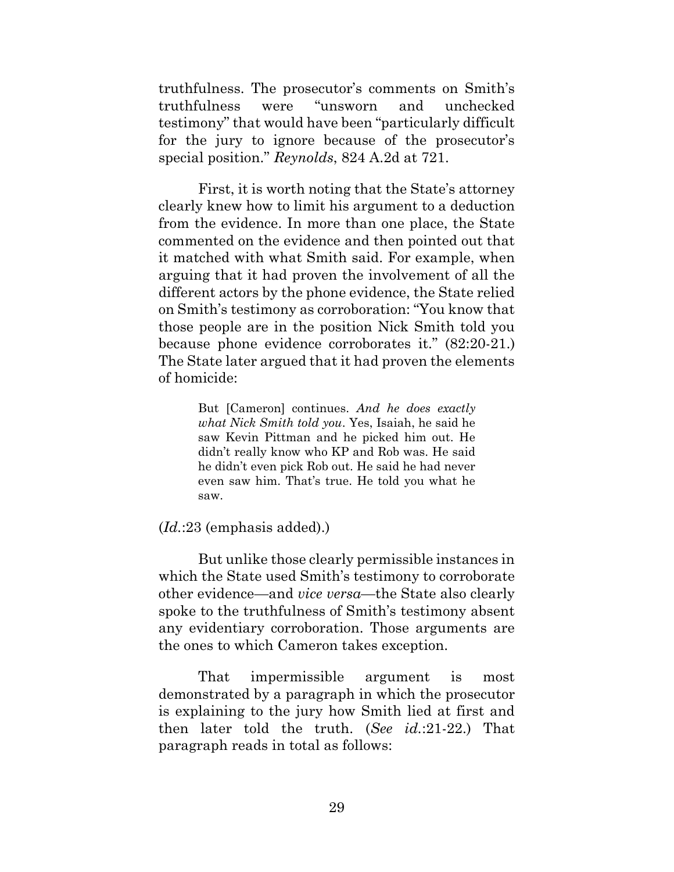truthfulness. The prosecutor's comments on Smith's truthfulness were "unsworn and unchecked testimony" that would have been "particularly difficult for the jury to ignore because of the prosecutor's special position." *Reynolds*, 824 A.2d at 721.

First, it is worth noting that the State's attorney clearly knew how to limit his argument to a deduction from the evidence. In more than one place, the State commented on the evidence and then pointed out that it matched with what Smith said. For example, when arguing that it had proven the involvement of all the different actors by the phone evidence, the State relied on Smith's testimony as corroboration: "You know that those people are in the position Nick Smith told you because phone evidence corroborates it." (82:20-21.) The State later argued that it had proven the elements of homicide:

> But [Cameron] continues. *And he does exactly what Nick Smith told you*. Yes, Isaiah, he said he saw Kevin Pittman and he picked him out. He didn't really know who KP and Rob was. He said he didn't even pick Rob out. He said he had never even saw him. That's true. He told you what he saw.

#### (*Id.*:23 (emphasis added).)

But unlike those clearly permissible instances in which the State used Smith's testimony to corroborate other evidence—and *vice versa*—the State also clearly spoke to the truthfulness of Smith's testimony absent any evidentiary corroboration. Those arguments are the ones to which Cameron takes exception.

That impermissible argument is most demonstrated by a paragraph in which the prosecutor is explaining to the jury how Smith lied at first and then later told the truth. (*See id.*:21-22.) That paragraph reads in total as follows: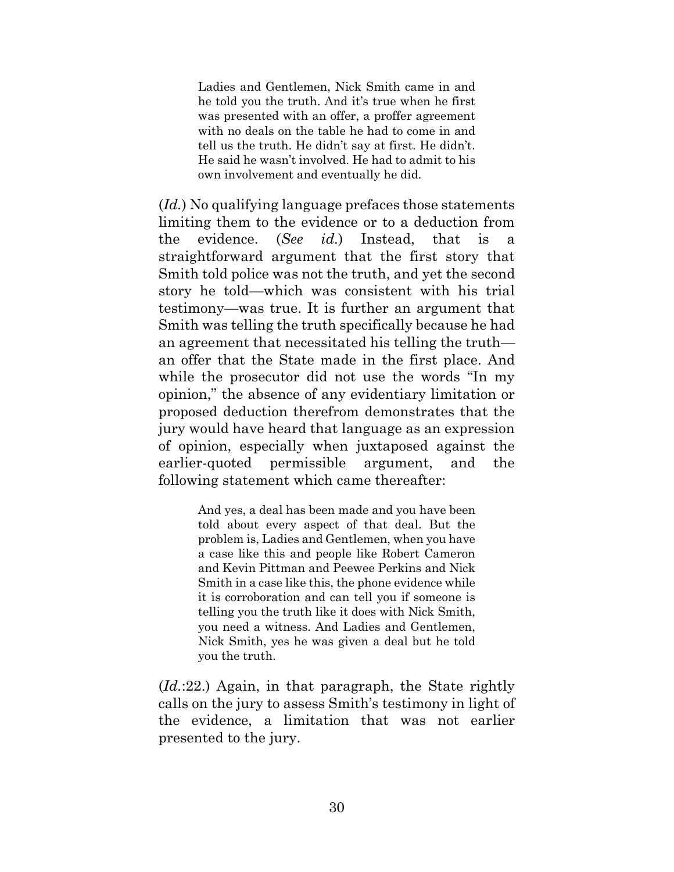Ladies and Gentlemen, Nick Smith came in and he told you the truth. And it's true when he first was presented with an offer, a proffer agreement with no deals on the table he had to come in and tell us the truth. He didn't say at first. He didn't. He said he wasn't involved. He had to admit to his own involvement and eventually he did.

(*Id.*) No qualifying language prefaces those statements limiting them to the evidence or to a deduction from the evidence. (*See id.*) Instead, that is a straightforward argument that the first story that Smith told police was not the truth, and yet the second story he told—which was consistent with his trial testimony—was true. It is further an argument that Smith was telling the truth specifically because he had an agreement that necessitated his telling the truth an offer that the State made in the first place. And while the prosecutor did not use the words "In my opinion," the absence of any evidentiary limitation or proposed deduction therefrom demonstrates that the jury would have heard that language as an expression of opinion, especially when juxtaposed against the earlier-quoted permissible argument, and the following statement which came thereafter:

> And yes, a deal has been made and you have been told about every aspect of that deal. But the problem is, Ladies and Gentlemen, when you have a case like this and people like Robert Cameron and Kevin Pittman and Peewee Perkins and Nick Smith in a case like this, the phone evidence while it is corroboration and can tell you if someone is telling you the truth like it does with Nick Smith, you need a witness. And Ladies and Gentlemen, Nick Smith, yes he was given a deal but he told you the truth.

(*Id.*:22.) Again, in that paragraph, the State rightly calls on the jury to assess Smith's testimony in light of the evidence, a limitation that was not earlier presented to the jury.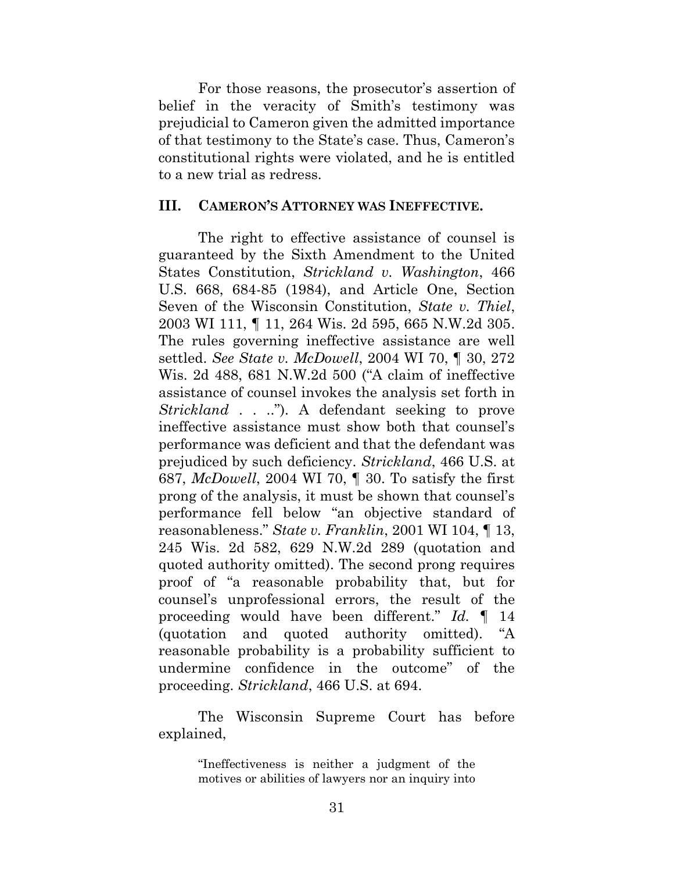For those reasons, the prosecutor's assertion of belief in the veracity of Smith's testimony was prejudicial to Cameron given the admitted importance of that testimony to the State's case. Thus, Cameron's constitutional rights were violated, and he is entitled to a new trial as redress.

#### <span id="page-38-0"></span>**III. CAMERON'S ATTORNEY WAS INEFFECTIVE.**

The right to effective assistance of counsel is guaranteed by the Sixth Amendment to the United States Constitution, *Strickland v. Washington*, 466 U.S. 668, 684-85 (1984), and Article One, Section Seven of the Wisconsin Constitution, *State v. Thiel*, 2003 WI 111, ¶ 11, 264 Wis. 2d 595, 665 N.W.2d 305. The rules governing ineffective assistance are well settled. *See State v. McDowell*, 2004 WI 70, ¶ 30, 272 Wis. 2d 488, 681 N.W.2d 500 ("A claim of ineffective assistance of counsel invokes the analysis set forth in *Strickland* . . .."). A defendant seeking to prove ineffective assistance must show both that counsel's performance was deficient and that the defendant was prejudiced by such deficiency. *Strickland*, 466 U.S. at 687, *McDowell*, 2004 WI 70, ¶ 30. To satisfy the first prong of the analysis, it must be shown that counsel's performance fell below "an objective standard of reasonableness." *State v. Franklin*, 2001 WI 104, ¶ 13, 245 Wis. 2d 582, 629 N.W.2d 289 (quotation and quoted authority omitted). The second prong requires proof of "a reasonable probability that, but for counsel's unprofessional errors, the result of the proceeding would have been different." *Id.* ¶ 14 (quotation and quoted authority omitted). "A reasonable probability is a probability sufficient to undermine confidence in the outcome" of the proceeding. *Strickland*, 466 U.S. at 694.

The Wisconsin Supreme Court has before explained,

> "Ineffectiveness is neither a judgment of the motives or abilities of lawyers nor an inquiry into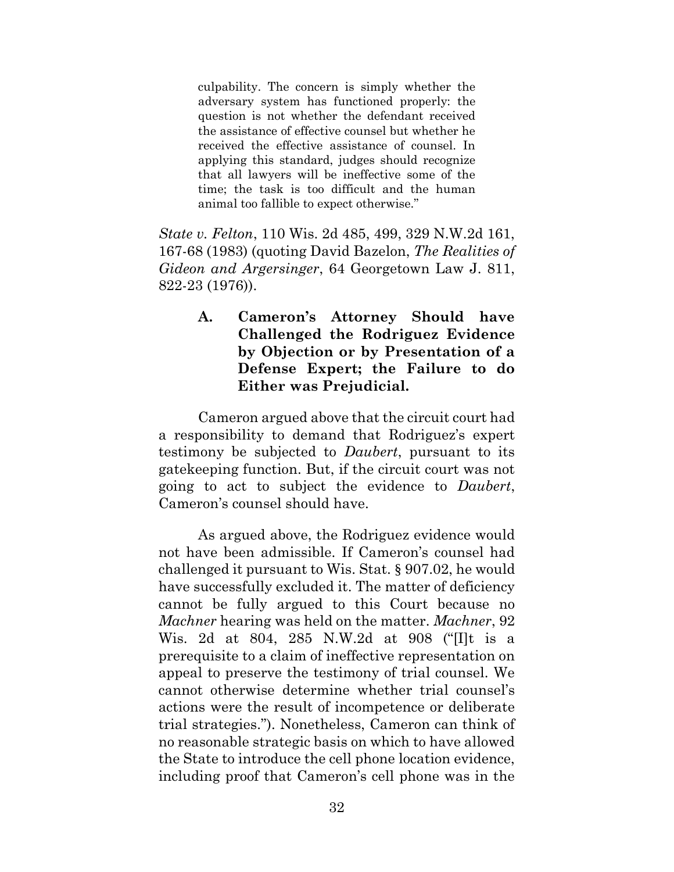culpability. The concern is simply whether the adversary system has functioned properly: the question is not whether the defendant received the assistance of effective counsel but whether he received the effective assistance of counsel. In applying this standard, judges should recognize that all lawyers will be ineffective some of the time; the task is too difficult and the human animal too fallible to expect otherwise."

*State v. Felton*, 110 Wis. 2d 485, 499, 329 N.W.2d 161, 167-68 (1983) (quoting David Bazelon, *The Realities of Gideon and Argersinger*, 64 Georgetown Law J. 811, 822-23 (1976)).

# <span id="page-39-0"></span>**A. Cameron's Attorney Should have Challenged the Rodriguez Evidence by Objection or by Presentation of a Defense Expert; the Failure to do Either was Prejudicial.**

Cameron argued above that the circuit court had a responsibility to demand that Rodriguez's expert testimony be subjected to *Daubert*, pursuant to its gatekeeping function. But, if the circuit court was not going to act to subject the evidence to *Daubert*, Cameron's counsel should have.

As argued above, the Rodriguez evidence would not have been admissible. If Cameron's counsel had challenged it pursuant to Wis. Stat. § 907.02, he would have successfully excluded it. The matter of deficiency cannot be fully argued to this Court because no *Machner* hearing was held on the matter. *Machner*, 92 Wis. 2d at 804, 285 N.W.2d at 908 ("[I]t is a prerequisite to a claim of ineffective representation on appeal to preserve the testimony of trial counsel. We cannot otherwise determine whether trial counsel's actions were the result of incompetence or deliberate trial strategies."). Nonetheless, Cameron can think of no reasonable strategic basis on which to have allowed the State to introduce the cell phone location evidence, including proof that Cameron's cell phone was in the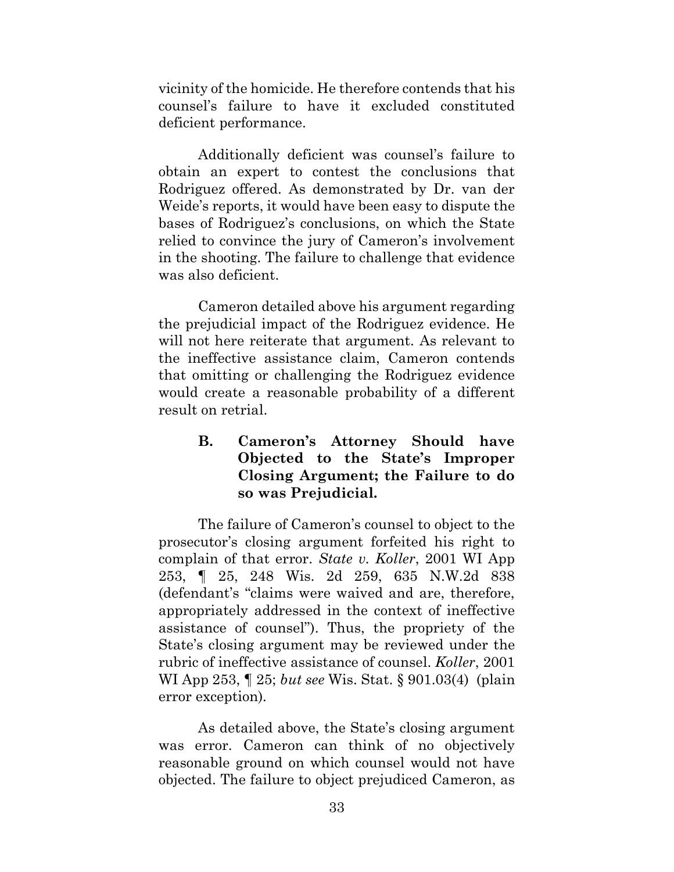vicinity of the homicide. He therefore contends that his counsel's failure to have it excluded constituted deficient performance.

Additionally deficient was counsel's failure to obtain an expert to contest the conclusions that Rodriguez offered. As demonstrated by Dr. van der Weide's reports, it would have been easy to dispute the bases of Rodriguez's conclusions, on which the State relied to convince the jury of Cameron's involvement in the shooting. The failure to challenge that evidence was also deficient.

Cameron detailed above his argument regarding the prejudicial impact of the Rodriguez evidence. He will not here reiterate that argument. As relevant to the ineffective assistance claim, Cameron contends that omitting or challenging the Rodriguez evidence would create a reasonable probability of a different result on retrial.

# <span id="page-40-0"></span>**B. Cameron's Attorney Should have Objected to the State's Improper Closing Argument; the Failure to do so was Prejudicial.**

The failure of Cameron's counsel to object to the prosecutor's closing argument forfeited his right to complain of that error. *State v. Koller*, 2001 WI App 253, ¶ 25, 248 Wis. 2d 259, 635 N.W.2d 838 (defendant's "claims were waived and are, therefore, appropriately addressed in the context of ineffective assistance of counsel"). Thus, the propriety of the State's closing argument may be reviewed under the rubric of ineffective assistance of counsel. *Koller*, 2001 WI App 253, ¶ 25; *but see* Wis. Stat. § 901.03(4) (plain error exception)*.*

As detailed above, the State's closing argument was error. Cameron can think of no objectively reasonable ground on which counsel would not have objected. The failure to object prejudiced Cameron, as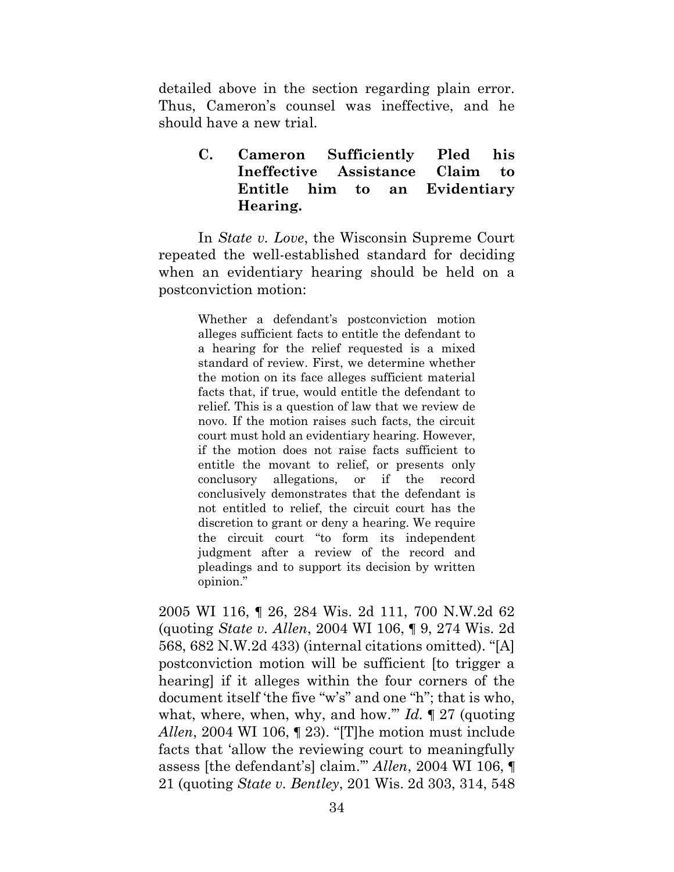detailed above in the section regarding plain error. Thus, Cameron's counsel was ineffective, and he should have a new trial.

> <span id="page-41-0"></span>**C. Cameron Sufficiently Pled his Ineffective Assistance Claim to Entitle him to an Evidentiary Hearing.**

In *State v. Love*, the Wisconsin Supreme Court repeated the well-established standard for deciding when an evidentiary hearing should be held on a postconviction motion:

> Whether a defendant's postconviction motion alleges sufficient facts to entitle the defendant to a hearing for the relief requested is a mixed standard of review. First, we determine whether the motion on its face alleges sufficient material facts that, if true, would entitle the defendant to relief. This is a question of law that we review de novo. If the motion raises such facts, the circuit court must hold an evidentiary hearing. However, if the motion does not raise facts sufficient to entitle the movant to relief, or presents only conclusory allegations, or if the record conclusively demonstrates that the defendant is not entitled to relief, the circuit court has the discretion to grant or deny a hearing. We require the circuit court "to form its independent judgment after a review of the record and pleadings and to support its decision by written opinion."

2005 WI 116, ¶ 26, 284 Wis. 2d 111, 700 N.W.2d 62 (quoting *State v. Allen*, 2004 WI 106, ¶ 9, 274 Wis. 2d 568, 682 N.W.2d 433) (internal citations omitted). "[A] postconviction motion will be sufficient [to trigger a hearing] if it alleges within the four corners of the document itself 'the five "w's" and one "h"; that is who, what, where, when, why, and how.'" *Id.* ¶ 27 (quoting *Allen*, 2004 WI 106, ¶ 23). "[T]he motion must include facts that 'allow the reviewing court to meaningfully assess [the defendant's] claim.'" *Allen*, 2004 WI 106, ¶ 21 (quoting *State v. Bentley*, 201 Wis. 2d 303, 314, 548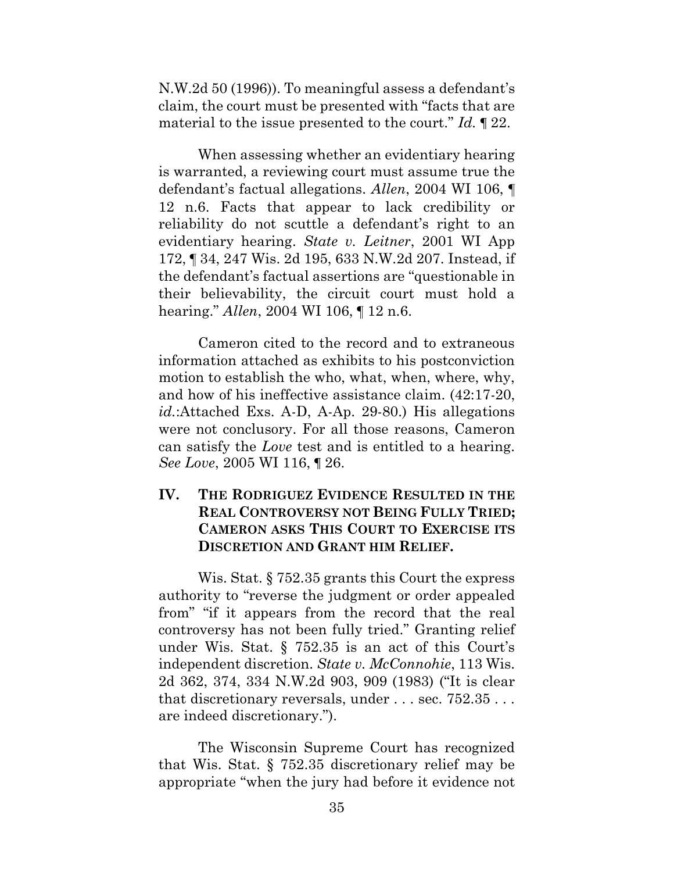N.W.2d 50 (1996)). To meaningful assess a defendant's claim, the court must be presented with "facts that are material to the issue presented to the court." *Id.* ¶ 22.

When assessing whether an evidentiary hearing is warranted, a reviewing court must assume true the defendant's factual allegations. *Allen*, 2004 WI 106, ¶ 12 n.6. Facts that appear to lack credibility or reliability do not scuttle a defendant's right to an evidentiary hearing. *State v. Leitner*, 2001 WI App 172, ¶ 34, 247 Wis. 2d 195, 633 N.W.2d 207. Instead, if the defendant's factual assertions are "questionable in their believability, the circuit court must hold a hearing." *Allen*, 2004 WI 106, ¶ 12 n.6.

Cameron cited to the record and to extraneous information attached as exhibits to his postconviction motion to establish the who, what, when, where, why, and how of his ineffective assistance claim. (42:17-20, *id.*:Attached Exs. A-D, A-Ap. 29-80.) His allegations were not conclusory. For all those reasons, Cameron can satisfy the *Love* test and is entitled to a hearing. *See Love*, 2005 WI 116, ¶ 26.

# <span id="page-42-0"></span>**IV. THE RODRIGUEZ EVIDENCE RESULTED IN THE REAL CONTROVERSY NOT BEING FULLY TRIED; CAMERON ASKS THIS COURT TO EXERCISE ITS DISCRETION AND GRANT HIM RELIEF.**

Wis. Stat. § 752.35 grants this Court the express authority to "reverse the judgment or order appealed from" "if it appears from the record that the real controversy has not been fully tried." Granting relief under Wis. Stat. § 752.35 is an act of this Court's independent discretion. *State v. McConnohie*, 113 Wis. 2d 362, 374, 334 N.W.2d 903, 909 (1983) ("It is clear that discretionary reversals, under . . . sec. 752.35 . . . are indeed discretionary.").

The Wisconsin Supreme Court has recognized that Wis. Stat. § 752.35 discretionary relief may be appropriate "when the jury had before it evidence not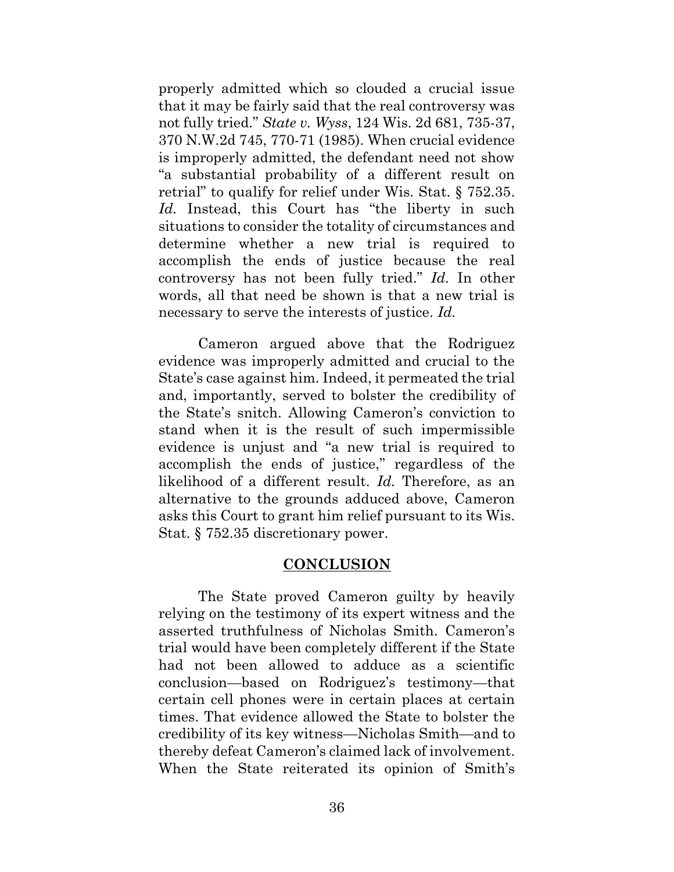properly admitted which so clouded a crucial issue that it may be fairly said that the real controversy was not fully tried." *State v. Wyss*, 124 Wis. 2d 681, 735-37, 370 N.W.2d 745, 770-71 (1985). When crucial evidence is improperly admitted, the defendant need not show "a substantial probability of a different result on retrial" to qualify for relief under Wis. Stat. § 752.35. Id. Instead, this Court has "the liberty in such situations to consider the totality of circumstances and determine whether a new trial is required to accomplish the ends of justice because the real controversy has not been fully tried." *Id.* In other words, all that need be shown is that a new trial is necessary to serve the interests of justice. *Id.*

Cameron argued above that the Rodriguez evidence was improperly admitted and crucial to the State's case against him. Indeed, it permeated the trial and, importantly, served to bolster the credibility of the State's snitch. Allowing Cameron's conviction to stand when it is the result of such impermissible evidence is unjust and "a new trial is required to accomplish the ends of justice," regardless of the likelihood of a different result. *Id.* Therefore, as an alternative to the grounds adduced above, Cameron asks this Court to grant him relief pursuant to its Wis. Stat. § 752.35 discretionary power.

#### **CONCLUSION**

<span id="page-43-0"></span>The State proved Cameron guilty by heavily relying on the testimony of its expert witness and the asserted truthfulness of Nicholas Smith. Cameron's trial would have been completely different if the State had not been allowed to adduce as a scientific conclusion—based on Rodriguez's testimony—that certain cell phones were in certain places at certain times. That evidence allowed the State to bolster the credibility of its key witness—Nicholas Smith—and to thereby defeat Cameron's claimed lack of involvement. When the State reiterated its opinion of Smith's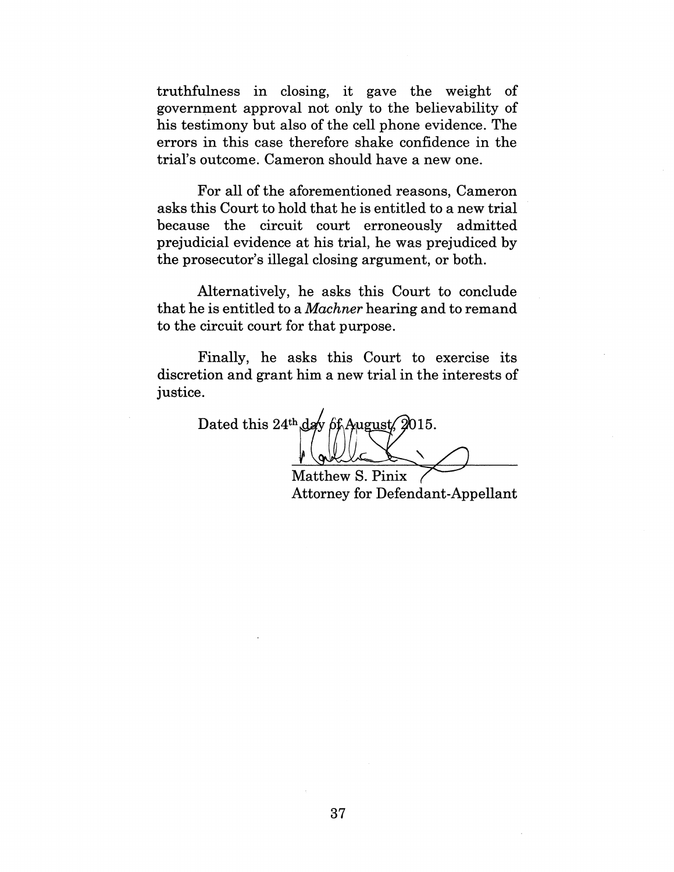truthfulness in closing, it gave the weight of government approval not only to the believability of his testimony but also of the cell phone evidence. The errors in this case therefore shake confidence in the trial's outcome. Cameron should have a new one.

For all of the aforementioned reasons, Cameron asks this Court to hold that he is entitled to a new trial because the circuit court erroneously admitted prejudicial evidence at his trial, he was prejudiced by the prosecutor's illegal closing argument, or both.

Alternatively, he asks this Court to conclude that he is entitled to a *Machner* hearing and to remand to the circuit court for that purpose.

Finally, he asks this Court to exercise its discretion and grant him a new trial in the interests of justice.

Dated this 24<sup>th</sup> day of August, 2015.

Matthew S. Pinix Attorney for Defendant-Appellant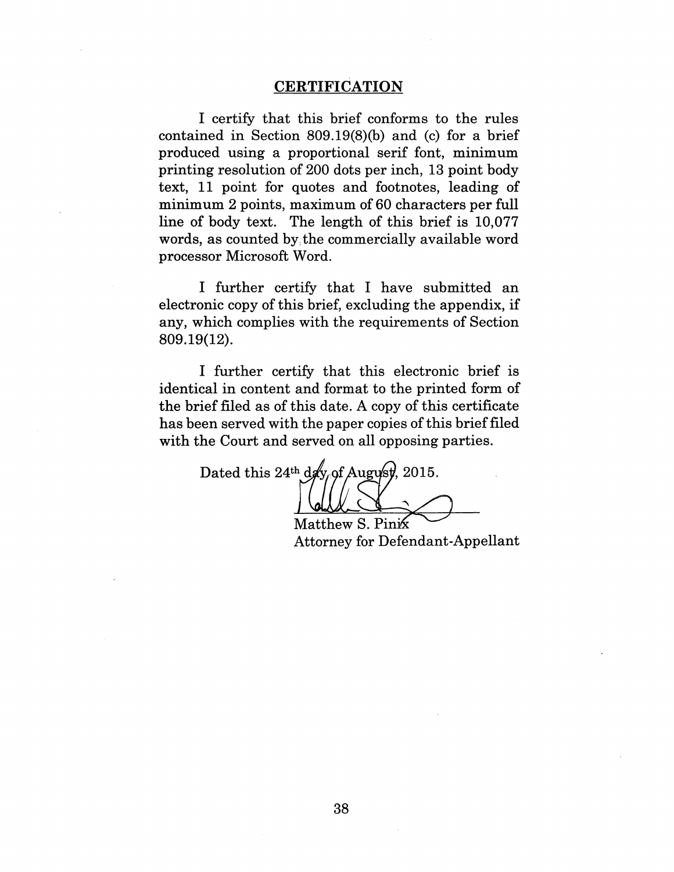#### CERTIFICATION

I certify that this brief conforms to the rules contained in Section 809.19(8)(b) and (c) for a brief produced using a proportional serif font, minimum printing resolution of 200 dots per inch, 13 point body text, 11 point for quotes and footnotes, leading of minimum 2 points, maximum of 60 characters per full line of body text. The length of this brief is 10,077 words, as counted by the commercially available word processor Microsoft Word.

I further certify that I have submitted an electronic copy of this brief, excluding the appendix, if any, which complies with the requirements of Section 809.19(12).

I further certify that this electronic brief is identical in content and format to the printed form of the brief filed as of this date. A copy of this certificate has been served with the paper copies of this brief filed with the Court and served on all opposing parties.

Dated this 24<sup>th</sup> day of August, 2015.

Matthew S. Pinik Attorney for Defendant-Appellant

38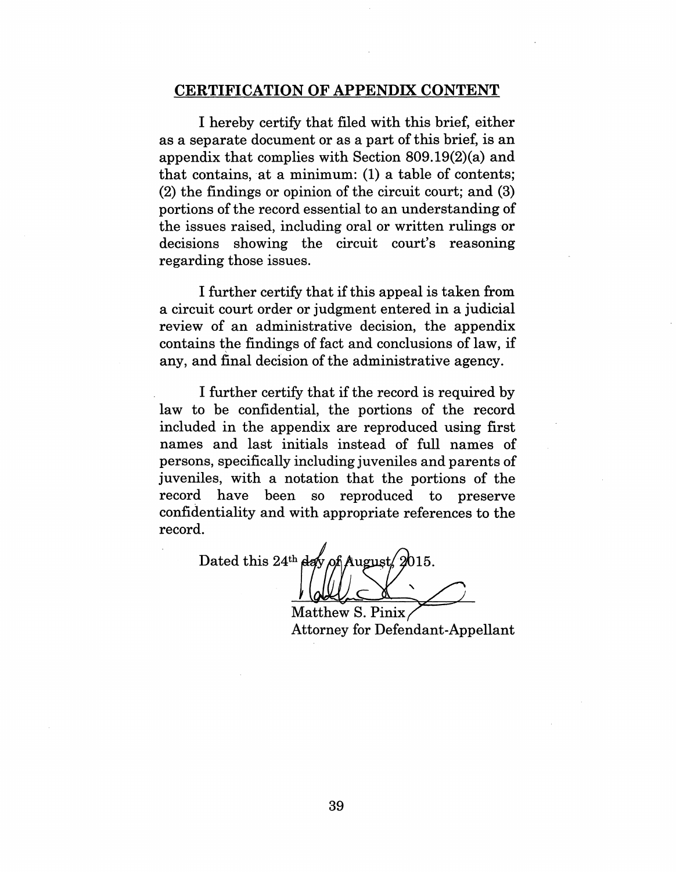#### CERTIFICATION OF APPENDIX CONTENT

I hereby certify that filed with this brief, either as a separate document or as a part of this brief, is an appendix that complies with Section 809.19(2)(a) and that contains, at a minimum: (1) a table of contents; (2) the findings or opinion of the circuit court; and (3) portions of the record essential to an understanding of the issues raised, including oral or written rulings or decisions showing the circuit court's reasoning regarding those issues.

I further certify that if this appeal is taken from a circuit court order or judgment entered in a judicial review of an administrative decision, the appendix contains the findings of fact and conclusions of law, if any, and final decision of the administrative agency.

I further certify that if the record is required by law to be confidential, the portions of the record included in the appendix are reproduced using first names and last initials instead of full names of persons, specifically including juveniles and parents of juveniles, with a notation that the portions of the record have been so reproduced to preserve confidentiality and with appropriate references to the record.

Dated this 24<sup>th</sup> day of August 2015.

Matthew S. Pinix Attorney for Defendant-Appellant